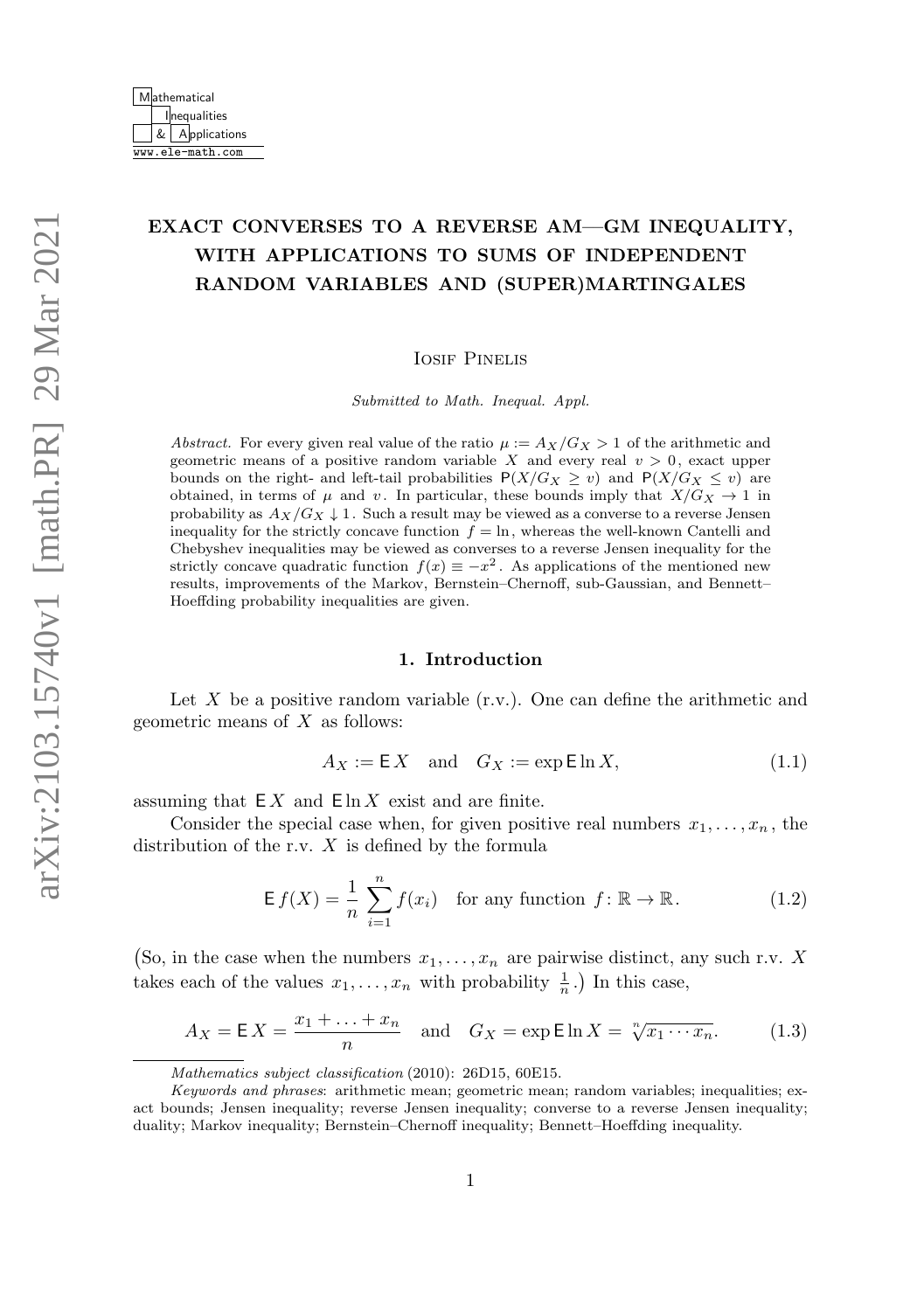# EXACT CONVERSES TO A REVERSE AM––GM INEQUALITY, WITH APPLICATIONS TO SUMS OF INDEPENDENT RANDOM VARIABLES AND (SUPER)MARTINGALES

Iosif Pinelis

Submitted to Math. Inequal. Appl.

Abstract. For every given real value of the ratio  $\mu := A_X/G_X > 1$  of the arithmetic and geometric means of a positive random variable X and every real  $v > 0$ , exact upper bounds on the right- and left-tail probabilities  $P(X/G_X \geq v)$  and  $P(X/G_X \leq v)$  are obtained, in terms of  $\mu$  and v. In particular, these bounds imply that  $X/G_X \to 1$  in probability as  $A_X/G_X \downarrow 1$ . Such a result may be viewed as a converse to a reverse Jensen inequality for the strictly concave function  $f = \ln$ , whereas the well-known Cantelli and Chebyshev inequalities may be viewed as converses to a reverse Jensen inequality for the strictly concave quadratic function  $f(x) \equiv -x^2$ . As applications of the mentioned new results, improvements of the Markov, Bernstein–Chernoff, sub-Gaussian, and Bennett– Hoeffding probability inequalities are given.

### 1. Introduction

Let X be a positive random variable  $(r.v.)$ . One can define the arithmetic and geometric means of  $X$  as follows:

<span id="page-0-0"></span>
$$
A_X := \mathsf{E} X \quad \text{and} \quad G_X := \exp \mathsf{E} \ln X,\tag{1.1}
$$

assuming that  $EX$  and  $E \ln X$  exist and are finite.

Consider the special case when, for given positive real numbers  $x_1, \ldots, x_n$ , the distribution of the r.v.  $X$  is defined by the formula

$$
\mathsf{E}\,f(X) = \frac{1}{n}\sum_{i=1}^{n} f(x_i) \quad \text{for any function } f \colon \mathbb{R} \to \mathbb{R}.
$$
 (1.2)

(So, in the case when the numbers  $x_1, \ldots, x_n$  are pairwise distinct, any such r.v. X takes each of the values  $x_1, \ldots, x_n$  with probability  $\frac{1}{n}$ .) In this case,

$$
A_X = \mathsf{E}\,X = \frac{x_1 + \ldots + x_n}{n} \quad \text{and} \quad G_X = \exp \mathsf{E} \ln X = \sqrt[n]{x_1 \cdots x_n}.\tag{1.3}
$$

Mathematics subject classification (2010): 26D15, 60E15.

Keywords and phrases: arithmetic mean; geometric mean; random variables; inequalities; exact bounds; Jensen inequality; reverse Jensen inequality; converse to a reverse Jensen inequality; duality; Markov inequality; Bernstein–Chernoff inequality; Bennett–Hoeffding inequality.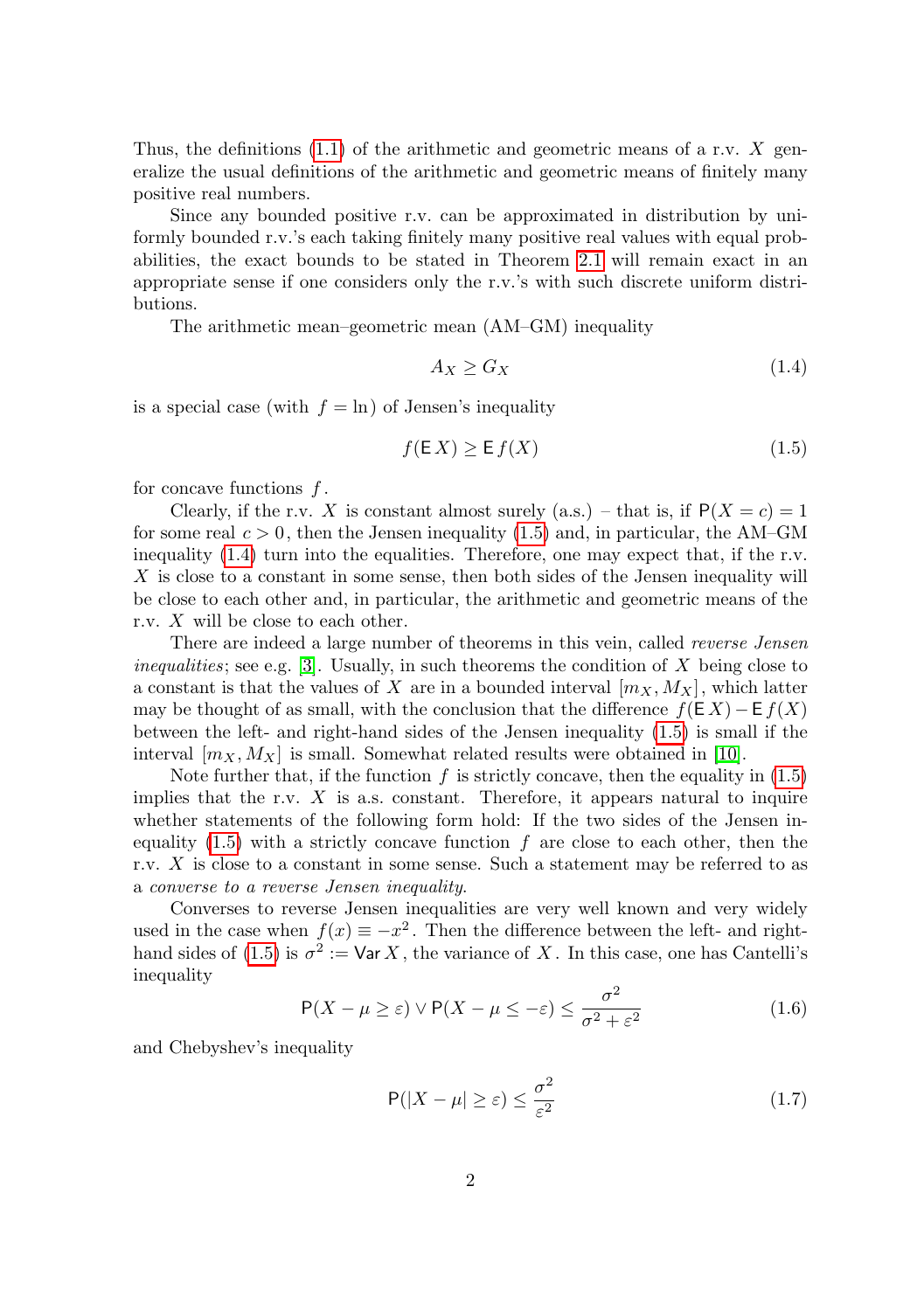Thus, the definitions [\(1.1\)](#page-0-0) of the arithmetic and geometric means of a r.v. X generalize the usual definitions of the arithmetic and geometric means of finitely many positive real numbers.

Since any bounded positive r.v. can be approximated in distribution by uniformly bounded r.v.'s each taking finitely many positive real values with equal probabilities, the exact bounds to be stated in Theorem [2.1](#page-2-0) will remain exact in an appropriate sense if one considers only the r.v.'s with such discrete uniform distributions.

The arithmetic mean–geometric mean (AM–GM) inequality

<span id="page-1-1"></span>
$$
A_X \ge G_X \tag{1.4}
$$

is a special case (with  $f = \ln$ ) of Jensen's inequality

<span id="page-1-0"></span>
$$
f(E X) \ge E f(X) \tag{1.5}
$$

for concave functions  $f$ .

Clearly, if the r.v. X is constant almost surely (a.s.) – that is, if  $P(X = c) = 1$ for some real  $c > 0$ , then the Jensen inequality [\(1.5\)](#page-1-0) and, in particular, the AM–GM inequality [\(1.4\)](#page-1-1) turn into the equalities. Therefore, one may expect that, if the r.v. X is close to a constant in some sense, then both sides of the Jensen inequality will be close to each other and, in particular, the arithmetic and geometric means of the r.v. X will be close to each other.

There are indeed a large number of theorems in this vein, called *reverse Jensen inequalities*; see e.g. [\[3\]](#page-14-0). Usually, in such theorems the condition of X being close to a constant is that the values of X are in a bounded interval  $[m_X, M_X]$ , which latter may be thought of as small, with the conclusion that the difference  $f(E X) - E f(X)$ between the left- and right-hand sides of the Jensen inequality [\(1.5\)](#page-1-0) is small if the interval  $[m_X, M_X]$  is small. Somewhat related results were obtained in [\[10\]](#page-15-0).

Note further that, if the function  $f$  is strictly concave, then the equality in  $(1.5)$ implies that the r.v.  $X$  is a.s. constant. Therefore, it appears natural to inquire whether statements of the following form hold: If the two sides of the Jensen inequality  $(1.5)$  with a strictly concave function f are close to each other, then the r.v. X is close to a constant in some sense. Such a statement may be referred to as a converse to a reverse Jensen inequality.

Converses to reverse Jensen inequalities are very well known and very widely used in the case when  $f(x) \equiv -x^2$ . Then the difference between the left- and right-hand sides of [\(1.5\)](#page-1-0) is  $\sigma^2 := \text{Var } X$ , the variance of X. In this case, one has Cantelli's inequality

<span id="page-1-2"></span>
$$
P(X - \mu \ge \varepsilon) \vee P(X - \mu \le -\varepsilon) \le \frac{\sigma^2}{\sigma^2 + \varepsilon^2}
$$
 (1.6)

and Chebyshev's inequality

<span id="page-1-3"></span>
$$
\mathsf{P}(|X - \mu| \ge \varepsilon) \le \frac{\sigma^2}{\varepsilon^2} \tag{1.7}
$$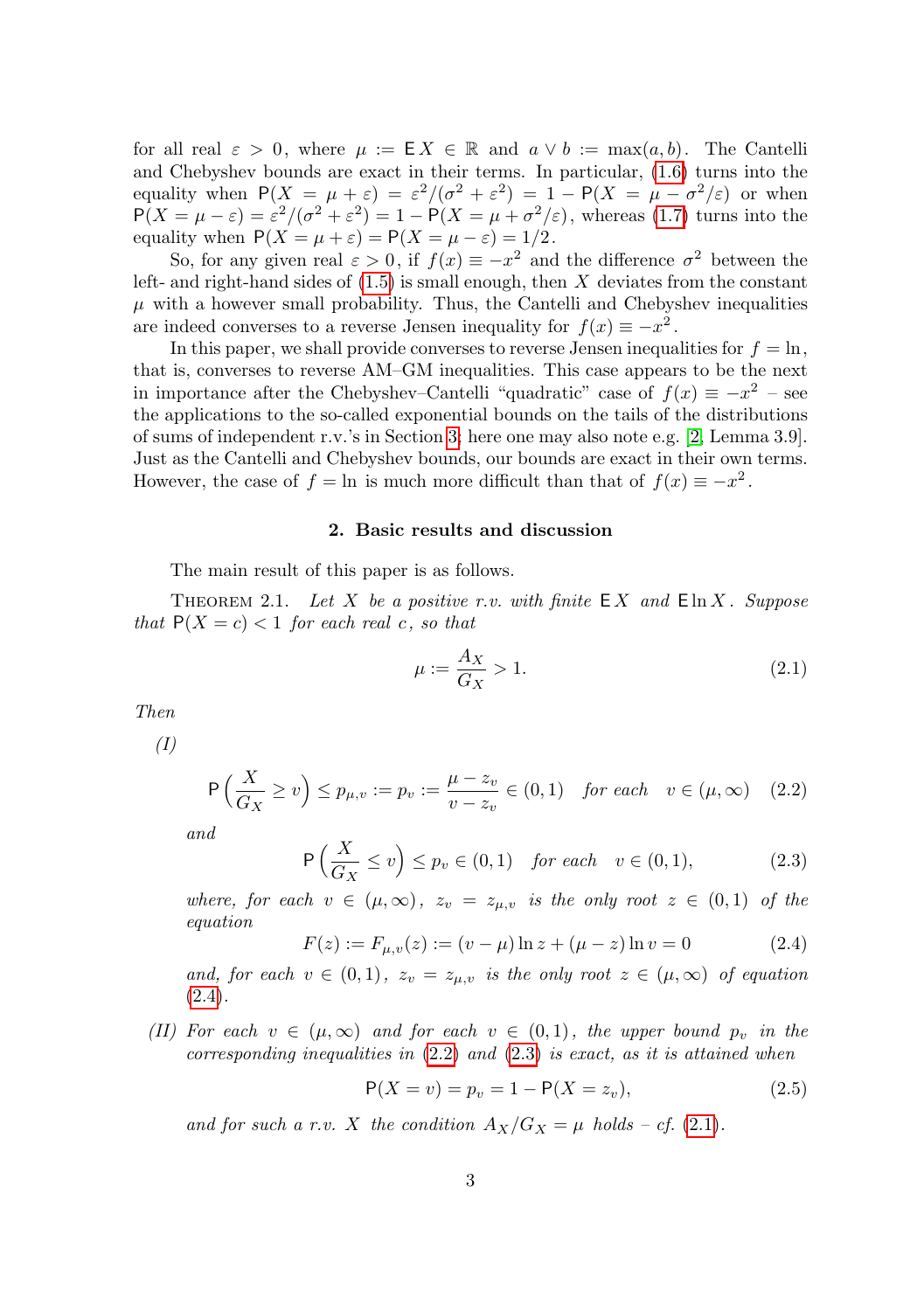for all real  $\varepsilon > 0$ , where  $\mu := \mathsf{E} X \in \mathbb{R}$  and  $a \vee b := \max(a, b)$ . The Cantelli and Chebyshev bounds are exact in their terms. In particular, [\(1.6\)](#page-1-2) turns into the equality when  $P(X = \mu + \varepsilon) = \varepsilon^2/(\sigma^2 + \varepsilon^2) = 1 - P(X = \mu - \sigma^2/\varepsilon)$  or when  $P(X = \mu - \varepsilon) = \varepsilon^2/(\sigma^2 + \varepsilon^2) = 1 - P(X = \mu + \sigma^2/\varepsilon)$ , whereas [\(1.7\)](#page-1-3) turns into the equality when  $P(X = \mu + \varepsilon) = P(X = \mu - \varepsilon) = 1/2$ .

So, for any given real  $\varepsilon > 0$ , if  $f(x) \equiv -x^2$  and the difference  $\sigma^2$  between the left- and right-hand sides of  $(1.5)$  is small enough, then X deviates from the constant  $\mu$  with a however small probability. Thus, the Cantelli and Chebyshev inequalities are indeed converses to a reverse Jensen inequality for  $f(x) \equiv -x^2$ .

In this paper, we shall provide converses to reverse Jensen inequalities for  $f = \ln$ , that is, converses to reverse AM–GM inequalities. This case appears to be the next in importance after the Chebyshev–Cantelli "quadratic" case of  $f(x) \equiv -x^2$  – see the applications to the so-called exponential bounds on the tails of the distributions of sums of independent r.v.'s in Section [3;](#page-4-0) here one may also note e.g. [\[2,](#page-14-1) Lemma 3.9]. Just as the Cantelli and Chebyshev bounds, our bounds are exact in their own terms. However, the case of  $f = \ln$  is much more difficult than that of  $f(x) \equiv -x^2$ .

### 2. Basic results and discussion

The main result of this paper is as follows.

<span id="page-2-0"></span>THEOREM 2.1. Let X be a positive r.v. with finite  $\mathsf{E}[X]$  and  $\mathsf{E}[n]$  in X. Suppose that  $P(X = c) < 1$  for each real c, so that

<span id="page-2-4"></span>
$$
\mu := \frac{A_X}{G_X} > 1. \tag{2.1}
$$

<span id="page-2-6"></span>Then

(I)

<span id="page-2-2"></span>
$$
\mathsf{P}\left(\frac{X}{G_X} \ge v\right) \le p_{\mu,v} := p_v := \frac{\mu - z_v}{v - z_v} \in (0,1) \quad \text{for each} \quad v \in (\mu,\infty) \quad (2.2)
$$

and

<span id="page-2-3"></span>
$$
\mathsf{P}\left(\frac{X}{G_X} \le v\right) \le p_v \in (0,1) \quad \text{for each} \quad v \in (0,1),\tag{2.3}
$$

where, for each  $v \in (\mu, \infty)$ ,  $z_v = z_{\mu, v}$  is the only root  $z \in (0, 1)$  of the equation

<span id="page-2-1"></span>
$$
F(z) := F_{\mu, v}(z) := (v - \mu) \ln z + (\mu - z) \ln v = 0 \tag{2.4}
$$

and, for each  $v \in (0,1)$ ,  $z_v = z_{\mu,v}$  is the only root  $z \in (\mu,\infty)$  of equation  $(2.4).$  $(2.4).$ 

<span id="page-2-5"></span>(II) For each  $v \in (\mu, \infty)$  and for each  $v \in (0, 1)$ , the upper bound  $p_v$  in the corresponding inequalities in  $(2.2)$  and  $(2.3)$  is exact, as it is attained when

<span id="page-2-7"></span>
$$
P(X = v) = p_v = 1 - P(X = z_v),
$$
\n(2.5)

and for such a r.v. X the condition  $A_X/G_X = \mu$  holds  $- cf. (2.1)$  $- cf. (2.1)$ .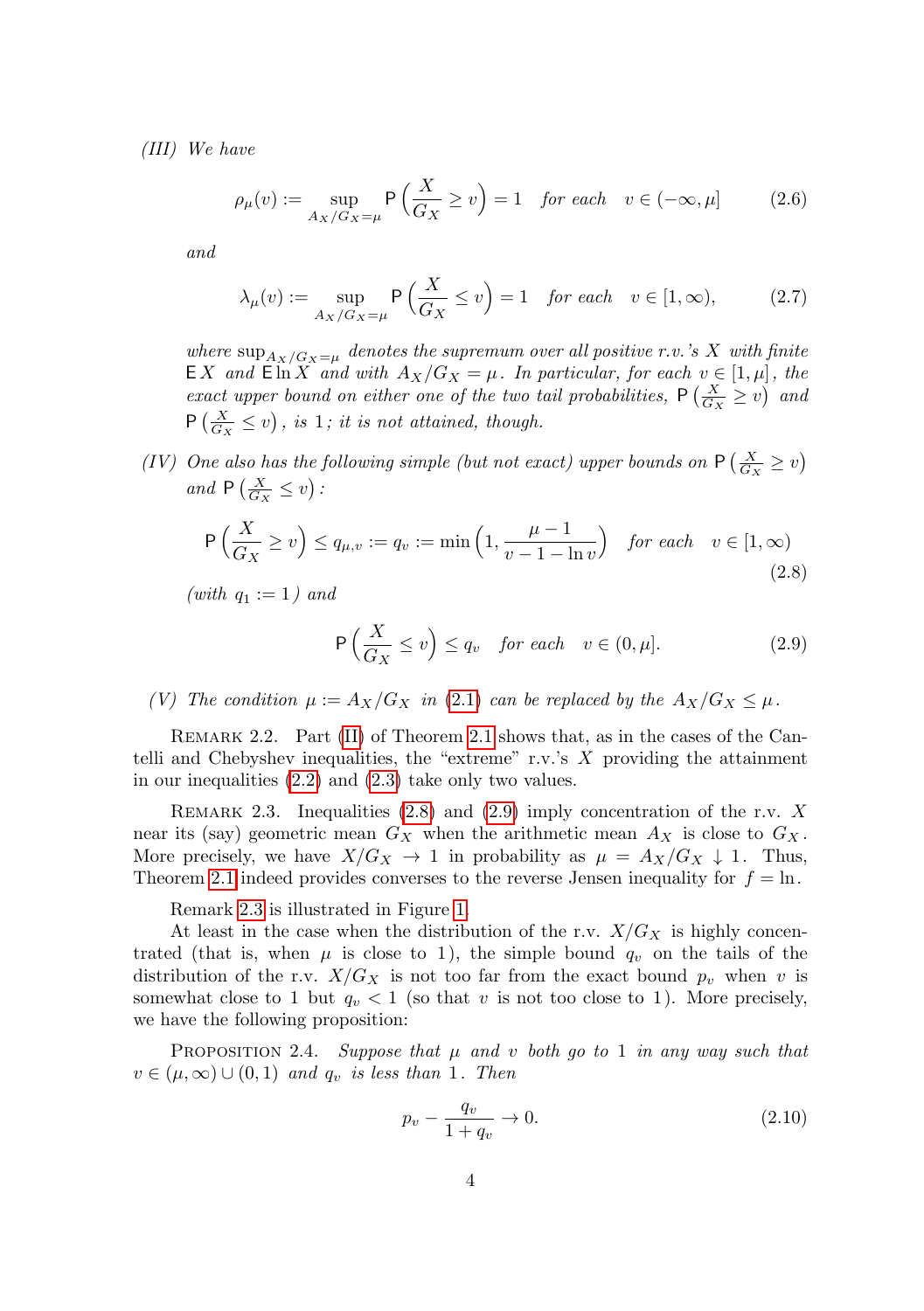<span id="page-3-4"></span>(III) We have

<span id="page-3-5"></span>
$$
\rho_{\mu}(v) := \sup_{A_X/G_X = \mu} \mathsf{P}\left(\frac{X}{G_X} \ge v\right) = 1 \quad \text{for each} \quad v \in (-\infty, \mu] \tag{2.6}
$$

and

<span id="page-3-6"></span>
$$
\lambda_{\mu}(v) := \sup_{A_X/G_X = \mu} \mathsf{P}\left(\frac{X}{G_X} \le v\right) = 1 \quad \text{for each} \quad v \in [1, \infty),\tag{2.7}
$$

where  $\sup_{A_X/G_X=\mu}$  denotes the supremum over all positive r.v.'s X with finite EX and  $\text{Ein } X$  and with  $A_X/G_X = \mu$ . In particular, for each  $v \in [1, \mu]$ , the exact upper bound on either one of the two tail probabilities,  $P\left(\frac{X}{G_X} \ge v\right)$  and  $P\left(\frac{X}{G_X} \leq v\right)$ , is 1; it is not attained, though.

<span id="page-3-3"></span>(IV) One also has the following simple (but not exact) upper bounds on  $P\left(\frac{X}{G_X} \ge v\right)$ and  $P\left(\frac{X}{G_X} \le v\right)$ :

<span id="page-3-0"></span>
$$
\mathsf{P}\left(\frac{X}{G_X} \ge v\right) \le q_{\mu,v} := q_v := \min\left(1, \frac{\mu - 1}{v - 1 - \ln v}\right) \quad \text{for each} \quad v \in [1, \infty)
$$
\n
$$
(2.8)
$$

(with  $q_1 := 1$ ) and

<span id="page-3-1"></span>
$$
\mathsf{P}\left(\frac{X}{G_X} \le v\right) \le q_v \quad \text{for each} \quad v \in (0, \mu].\tag{2.9}
$$

<span id="page-3-7"></span>(V) The condition  $\mu := A_X/G_X$  in [\(2.1\)](#page-2-4) can be replaced by the  $A_X/G_X \leq \mu$ .

REMARK 2.2. Part [\(II\)](#page-2-5) of Theorem [2.1](#page-2-0) shows that, as in the cases of the Cantelli and Chebyshev inequalities, the "extreme" r.v.'s  $X$  providing the attainment in our inequalities [\(2.2\)](#page-2-2) and [\(2.3\)](#page-2-3) take only two values.

<span id="page-3-2"></span>REMARK 2.3. Inequalities  $(2.8)$  and  $(2.9)$  imply concentration of the r.v. X near its (say) geometric mean  $G_X$  when the arithmetic mean  $A_X$  is close to  $G_X$ . More precisely, we have  $X/G_X \to 1$  in probability as  $\mu = A_X/G_X \downarrow 1$ . Thus, Theorem [2.1](#page-2-0) indeed provides converses to the reverse Jensen inequality for  $f = \ln$ .

Remark [2.3](#page-3-2) is illustrated in Figure [1.](#page-4-1)

At least in the case when the distribution of the r.v.  $X/G_X$  is highly concentrated (that is, when  $\mu$  is close to 1), the simple bound  $q_v$  on the tails of the distribution of the r.v.  $X/G_X$  is not too far from the exact bound  $p_v$  when v is somewhat close to 1 but  $q_v < 1$  (so that v is not too close to 1). More precisely, we have the following proposition:

<span id="page-3-8"></span>PROPOSITION 2.4. Suppose that  $\mu$  and v both go to 1 in any way such that  $v \in (\mu, \infty) \cup (0, 1)$  and  $q_v$  is less than 1. Then

<span id="page-3-9"></span>
$$
p_v - \frac{q_v}{1 + q_v} \to 0. \tag{2.10}
$$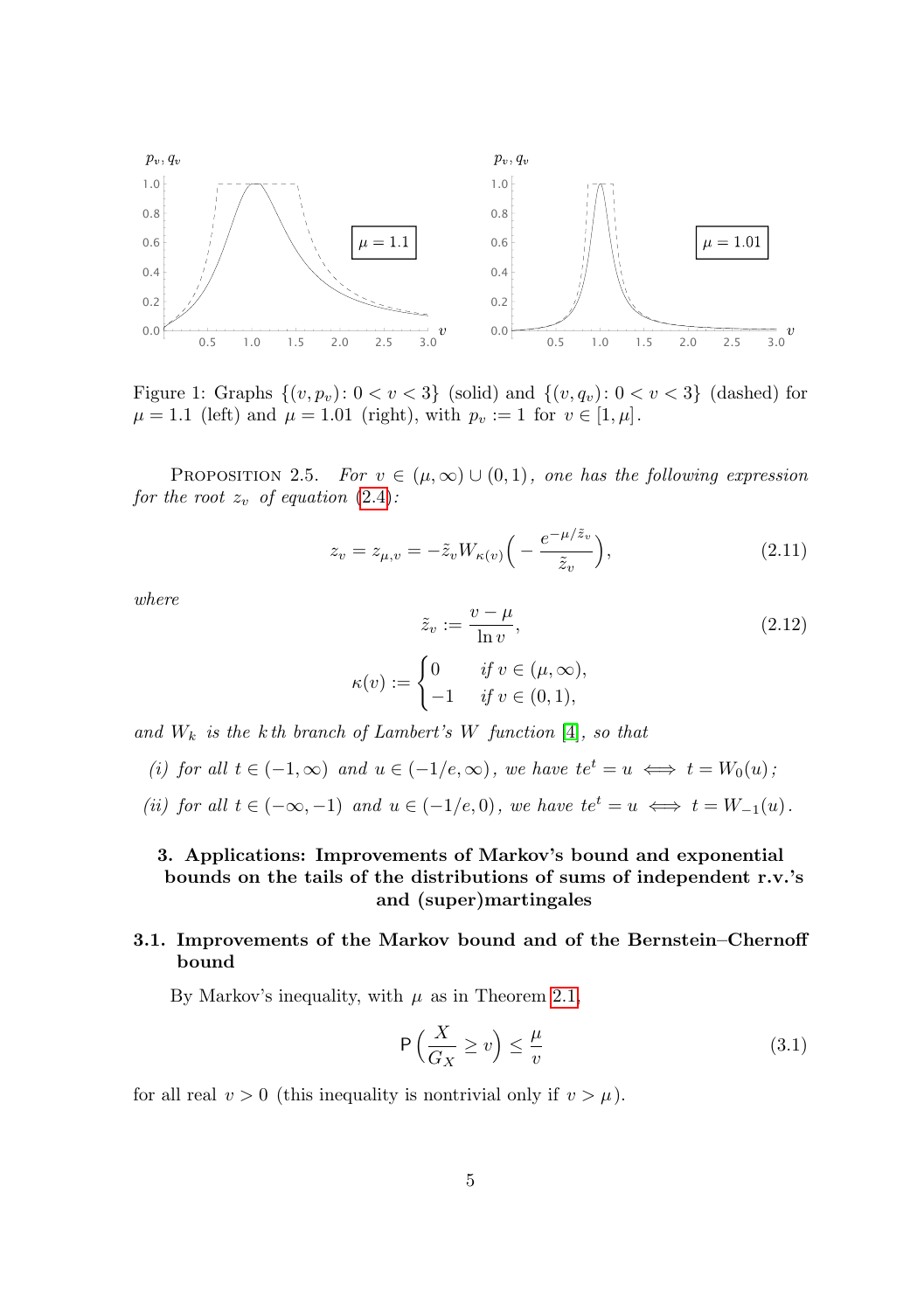

<span id="page-4-1"></span>Figure 1: Graphs  $\{(v, p_v): 0 < v < 3\}$  (solid) and  $\{(v, q_v): 0 < v < 3\}$  (dashed) for  $\mu = 1.1$  (left) and  $\mu = 1.01$  (right), with  $p_v := 1$  for  $v \in [1, \mu]$ .

<span id="page-4-5"></span>PROPOSITION 2.5. For  $v \in (\mu, \infty) \cup (0, 1)$ , one has the following expression for the root  $z_v$  of equation [\(2.4\)](#page-2-1):

<span id="page-4-3"></span>
$$
z_v = z_{\mu,v} = -\tilde{z}_v W_{\kappa(v)} \left( -\frac{e^{-\mu/\tilde{z}_v}}{\tilde{z}_v} \right),\tag{2.11}
$$

where

<span id="page-4-6"></span>
$$
\tilde{z}_v := \frac{v - \mu}{\ln v},
$$
\n
$$
:= \begin{cases}\n0 & \text{if } v \in (\mu, \infty), \\
-1 & \text{if } v \in (0, 1),\n\end{cases}
$$
\n(2.12)

and  $W_k$  is the k<sup>th</sup> branch of Lambert's W function [\[4\]](#page-14-2), so that

 $\kappa(v)$ 

- (i) for all  $t \in (-1,\infty)$  and  $u \in (-1/e,\infty)$ , we have  $te^t = u \iff t = W_0(u)$ ;
- (ii) for all  $t \in (-\infty, -1)$  and  $u \in (-1/e, 0)$ , we have  $te^t = u \iff t = W_{-1}(u)$ .

# <span id="page-4-0"></span>3. Applications: Improvements of Markov's bound and exponential bounds on the tails of the distributions of sums of independent r.v.'s and (super)martingales

## <span id="page-4-4"></span>3.1. Improvements of the Markov bound and of the Bernstein–Chernoff bound

By Markov's inequality, with  $\mu$  as in Theorem [2.1,](#page-2-0)

<span id="page-4-2"></span>
$$
\mathsf{P}\left(\frac{X}{G_X} \ge v\right) \le \frac{\mu}{v} \tag{3.1}
$$

for all real  $v > 0$  (this inequality is nontrivial only if  $v > \mu$ ).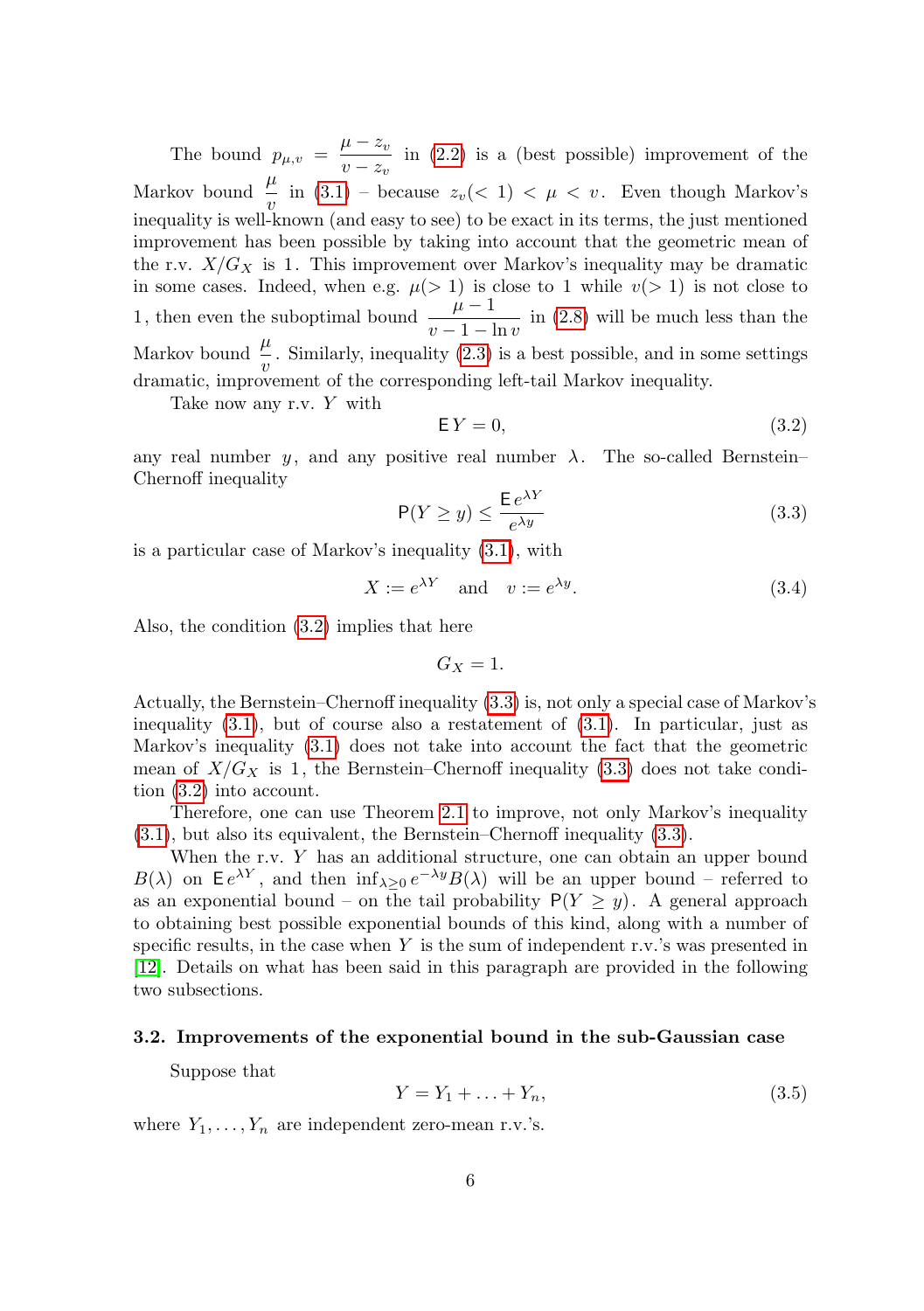The bound  $p_{\mu, v} = \frac{\mu - z_v}{\mu - z_v}$  $\frac{\mu}{v-z_v}$  in [\(2.2\)](#page-2-2) is a (best possible) improvement of the Markov bound  $\frac{\mu}{v}$  in [\(3.1\)](#page-4-2) – because  $z_v(< 1) < \mu < v$ . Even though Markov's inequality is well-known (and easy to see) to be exact in its terms, the just mentioned improvement has been possible by taking into account that the geometric mean of the r.v.  $X/G_X$  is 1. This improvement over Markov's inequality may be dramatic in some cases. Indeed, when e.g.  $\mu(> 1)$  is close to 1 while  $v(> 1)$  is not close to 1, then even the suboptimal bound  $\frac{\mu - 1}{v - 1 - \ln v}$  in [\(2.8\)](#page-3-0) will be much less than the Markov bound  $\frac{\mu}{v}$ . Similarly, inequality [\(2.3\)](#page-2-3) is a best possible, and in some settings dramatic, improvement of the corresponding left-tail Markov inequality.

Take now any r.v. Y with

<span id="page-5-0"></span>
$$
\mathsf{E}\,Y=0,\tag{3.2}
$$

any real number y, and any positive real number  $\lambda$ . The so-called Bernstein– Chernoff inequality

<span id="page-5-1"></span>
$$
\mathsf{P}(Y \ge y) \le \frac{\mathsf{E} \, e^{\lambda Y}}{e^{\lambda y}} \tag{3.3}
$$

is a particular case of Markov's inequality [\(3.1\)](#page-4-2), with

$$
X := e^{\lambda Y} \quad \text{and} \quad v := e^{\lambda y}.
$$
 (3.4)

Also, the condition [\(3.2\)](#page-5-0) implies that here

$$
G_X=1.
$$

Actually, the Bernstein–Chernoff inequality [\(3.3\)](#page-5-1) is, not only a special case of Markov's inequality  $(3.1)$ , but of course also a restatement of  $(3.1)$ . In particular, just as Markov's inequality [\(3.1\)](#page-4-2) does not take into account the fact that the geometric mean of  $X/G_X$  is 1, the Bernstein–Chernoff inequality [\(3.3\)](#page-5-1) does not take condition [\(3.2\)](#page-5-0) into account.

Therefore, one can use Theorem [2.1](#page-2-0) to improve, not only Markov's inequality [\(3.1\)](#page-4-2), but also its equivalent, the Bernstein–Chernoff inequality [\(3.3\)](#page-5-1).

When the r.v. Y has an additional structure, one can obtain an upper bound  $B(\lambda)$  on  $\mathsf{E} e^{\lambda Y}$ , and then  $\inf_{\lambda \geq 0} e^{-\lambda y} B(\lambda)$  will be an upper bound – referred to as an exponential bound – on the tail probability  $P(Y \geq y)$ . A general approach to obtaining best possible exponential bounds of this kind, along with a number of specific results, in the case when  $Y$  is the sum of independent r.v.'s was presented in [\[12\]](#page-15-1). Details on what has been said in this paragraph are provided in the following two subsections.

### <span id="page-5-3"></span>3.2. Improvements of the exponential bound in the sub-Gaussian case

Suppose that

<span id="page-5-2"></span>
$$
Y = Y_1 + \ldots + Y_n,\tag{3.5}
$$

where  $Y_1, \ldots, Y_n$  are independent zero-mean r.v.'s.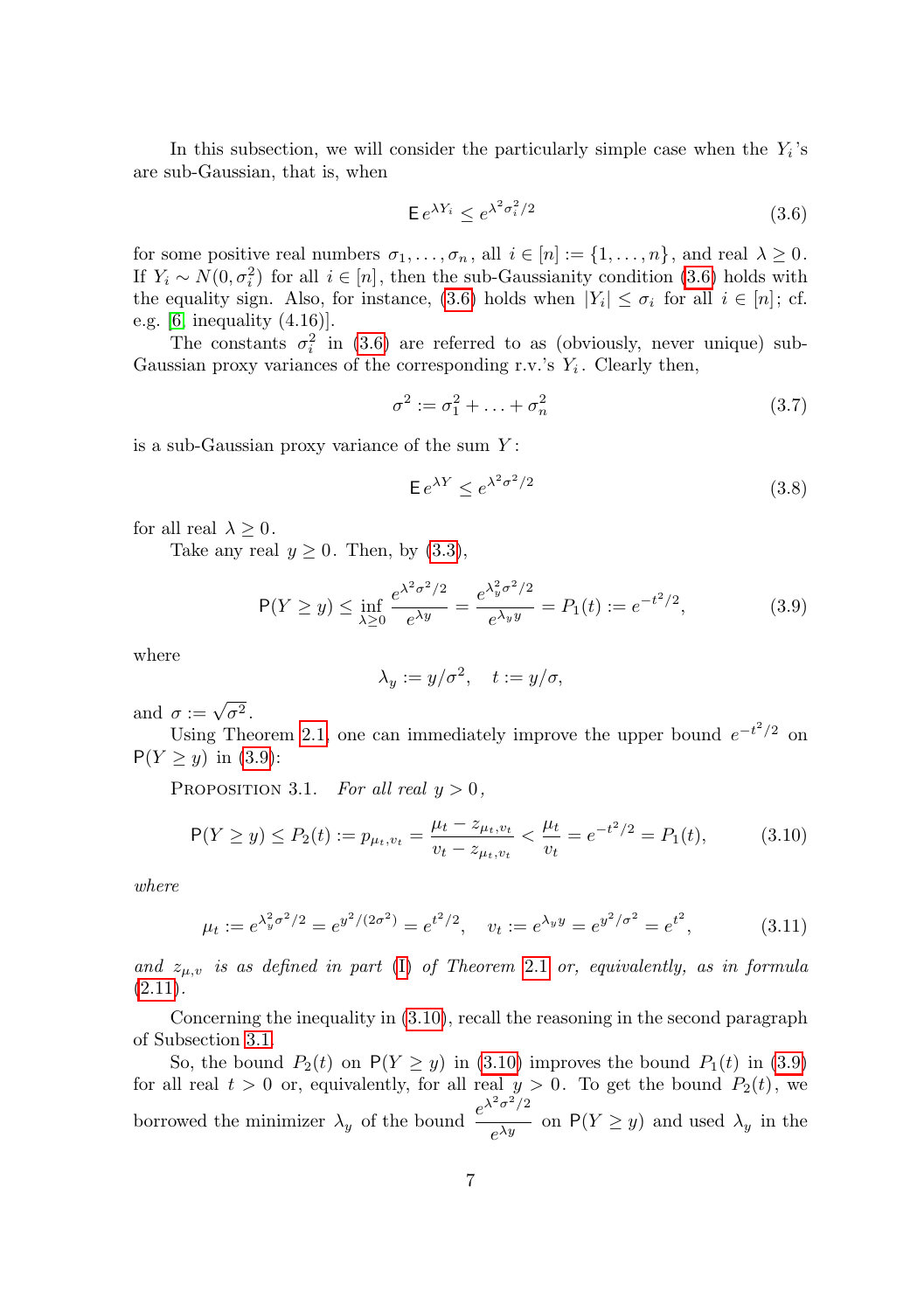In this subsection, we will consider the particularly simple case when the  $Y_i$ 's are sub-Gaussian, that is, when

<span id="page-6-0"></span>
$$
\mathsf{E} \, e^{\lambda Y_i} \le e^{\lambda^2 \sigma_i^2/2} \tag{3.6}
$$

for some positive real numbers  $\sigma_1, \ldots, \sigma_n$ , all  $i \in [n] := \{1, \ldots, n\}$ , and real  $\lambda \geq 0$ . If  $Y_i \sim N(0, \sigma_i^2)$  for all  $i \in [n]$ , then the sub-Gaussianity condition [\(3.6\)](#page-6-0) holds with the equality sign. Also, for instance, [\(3.6\)](#page-6-0) holds when  $|Y_i| \leq \sigma_i$  for all  $i \in [n]$ ; cf. e.g. [\[6,](#page-14-3) inequality (4.16)].

The constants  $\sigma_i^2$  in [\(3.6\)](#page-6-0) are referred to as (obviously, never unique) sub-Gaussian proxy variances of the corresponding r.v.'s  $Y_i$ . Clearly then,

<span id="page-6-4"></span>
$$
\sigma^2 := \sigma_1^2 + \ldots + \sigma_n^2 \tag{3.7}
$$

is a sub-Gaussian proxy variance of the sum  $Y$ :

$$
\mathsf{E} \, e^{\lambda Y} \le e^{\lambda^2 \sigma^2 / 2} \tag{3.8}
$$

for all real  $\lambda \geq 0$ .

Take any real  $y \geq 0$ . Then, by  $(3.3)$ ,

<span id="page-6-1"></span>
$$
\mathsf{P}(Y \ge y) \le \inf_{\lambda \ge 0} \frac{e^{\lambda^2 \sigma^2 / 2}}{e^{\lambda y}} = \frac{e^{\lambda_y^2 \sigma^2 / 2}}{e^{\lambda_y y}} = P_1(t) := e^{-t^2 / 2},\tag{3.9}
$$

where

$$
\lambda_y := y/\sigma^2, \quad t := y/\sigma,
$$

and  $\sigma := \sqrt{\sigma^2}$ .

Using Theorem [2.1,](#page-2-0) one can immediately improve the upper bound  $e^{-t^2/2}$  on  $P(Y \ge y)$  in [\(3.9\)](#page-6-1):

<span id="page-6-5"></span>PROPOSITION 3.1. For all real  $y > 0$ ,

<span id="page-6-2"></span>
$$
\mathsf{P}(Y \ge y) \le P_2(t) := p_{\mu_t, v_t} = \frac{\mu_t - z_{\mu_t, v_t}}{v_t - z_{\mu_t, v_t}} < \frac{\mu_t}{v_t} = e^{-t^2/2} = P_1(t),\tag{3.10}
$$

where

<span id="page-6-3"></span>
$$
\mu_t := e^{\lambda_y^2 \sigma^2/2} = e^{y^2/(2\sigma^2)} = e^{t^2/2}, \quad v_t := e^{\lambda_y y} = e^{y^2/\sigma^2} = e^{t^2}, \tag{3.11}
$$

and  $z_{\mu,\upsilon}$  is as defined in part [\(I\)](#page-2-6) of Theorem [2.1](#page-2-0) or, equivalently, as in formula  $(2.11).$  $(2.11).$ 

Concerning the inequality in [\(3.10\)](#page-6-2), recall the reasoning in the second paragraph of Subsection [3.1.](#page-4-4)

So, the bound  $P_2(t)$  on  $P(Y \ge y)$  in [\(3.10\)](#page-6-2) improves the bound  $P_1(t)$  in [\(3.9\)](#page-6-1) for all real  $t > 0$  or, equivalently, for all real  $y > 0$ . To get the bound  $P_2(t)$ , we borrowed the minimizer  $\lambda_y$  of the bound  $\frac{e^{\lambda^2 \sigma^2/2}}{\lambda^2}$  $\frac{\partial}{\partial e^{\lambda y}}$  on  $P(Y \ge y)$  and used  $\lambda_y$  in the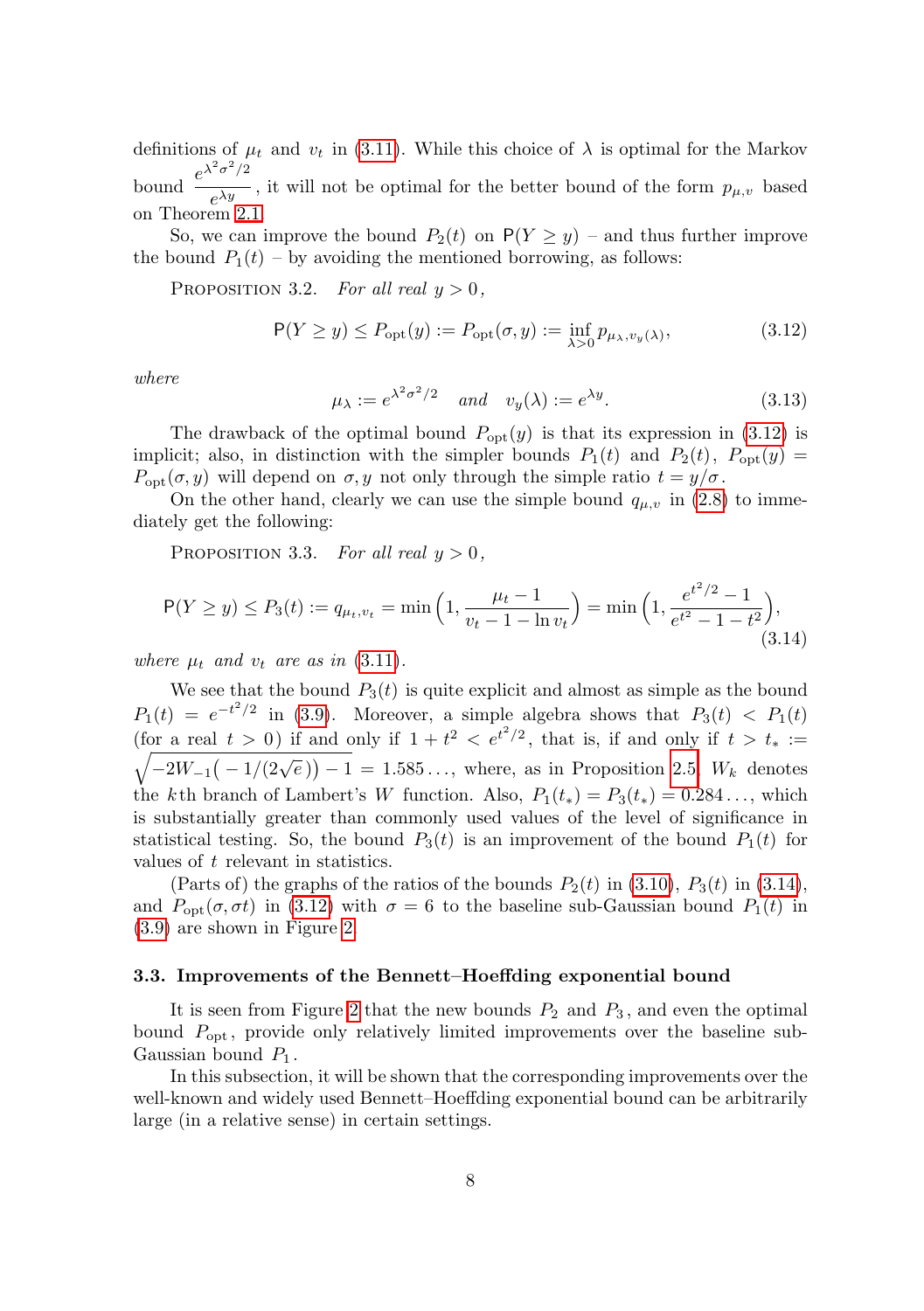definitions of  $\mu_t$  and  $v_t$  in [\(3.11\)](#page-6-3). While this choice of  $\lambda$  is optimal for the Markov bound  $\frac{e^{\lambda^2 \sigma^2/2}}{h}$  $\overline{e^{\lambda y}}$ , it will not be optimal for the better bound of the form  $p_{\mu,\nu}$  based on Theorem [2.1.](#page-2-0)

So, we can improve the bound  $P_2(t)$  on  $P(Y \ge y)$  – and thus further improve the bound  $P_1(t)$  – by avoiding the mentioned borrowing, as follows:

<span id="page-7-3"></span>PROPOSITION 3.2. For all real  $y > 0$ ,

<span id="page-7-0"></span>
$$
P(Y \ge y) \le P_{\text{opt}}(y) := P_{\text{opt}}(\sigma, y) := \inf_{\lambda > 0} p_{\mu_{\lambda}, v_y(\lambda)},
$$
\n(3.12)

where

<span id="page-7-2"></span>
$$
\mu_{\lambda} := e^{\lambda^2 \sigma^2/2} \quad \text{and} \quad v_y(\lambda) := e^{\lambda y}.\tag{3.13}
$$

The drawback of the optimal bound  $P_{opt}(y)$  is that its expression in [\(3.12\)](#page-7-0) is implicit; also, in distinction with the simpler bounds  $P_1(t)$  and  $P_2(t)$ ,  $P_{opt}(y)$  $P_{\text{opt}}(\sigma, y)$  will depend on  $\sigma, y$  not only through the simple ratio  $t = y/\sigma$ .

On the other hand, clearly we can use the simple bound  $q_{\mu,\nu}$  in [\(2.8\)](#page-3-0) to immediately get the following:

<span id="page-7-4"></span>PROPOSITION 3.3. For all real  $y > 0$ ,

<span id="page-7-1"></span>
$$
P(Y \ge y) \le P_3(t) := q_{\mu_t, v_t} = \min\left(1, \frac{\mu_t - 1}{v_t - 1 - \ln v_t}\right) = \min\left(1, \frac{e^{t^2/2} - 1}{e^{t^2} - 1 - t^2}\right),\tag{3.14}
$$

where  $\mu_t$  and  $v_t$  are as in [\(3.11\)](#page-6-3).

We see that the bound  $P_3(t)$  is quite explicit and almost as simple as the bound  $P_1(t) = e^{-t^2/2}$  in [\(3.9\)](#page-6-1). Moreover, a simple algebra shows that  $P_3(t) < P_1(t)$ (for a real  $t > 0$ ) if and only if  $1 + t^2 < e^{t^2/2}$ , that is, if and only if  $t > t_* :=$  $\sqrt{-2W_{-1}(-1/(2\sqrt{e})) - 1} = 1.585...$ , where, as in Proposition [2.5,](#page-4-5)  $W_k$  denotes the k th branch of Lambert's W function. Also,  $P_1(t_*) = P_3(t_*) = 0.284...,$  which is substantially greater than commonly used values of the level of significance in statistical testing. So, the bound  $P_3(t)$  is an improvement of the bound  $P_1(t)$  for values of t relevant in statistics.

(Parts of) the graphs of the ratios of the bounds  $P_2(t)$  in [\(3.10\)](#page-6-2),  $P_3(t)$  in [\(3.14\)](#page-7-1), and  $P_{\text{opt}}(\sigma, \sigma t)$  in [\(3.12\)](#page-7-0) with  $\sigma = 6$  to the baseline sub-Gaussian bound  $P_1(t)$  in [\(3.9\)](#page-6-1) are shown in Figure [2.](#page-8-0)

#### <span id="page-7-5"></span>3.3. Improvements of the Bennett–Hoeffding exponential bound

It is seen from Figure [2](#page-8-0) that the new bounds  $P_2$  and  $P_3$ , and even the optimal bound  $P_{\text{opt}}$ , provide only relatively limited improvements over the baseline sub-Gaussian bound  $P_1$ .

In this subsection, it will be shown that the corresponding improvements over the well-known and widely used Bennett–Hoeffding exponential bound can be arbitrarily large (in a relative sense) in certain settings.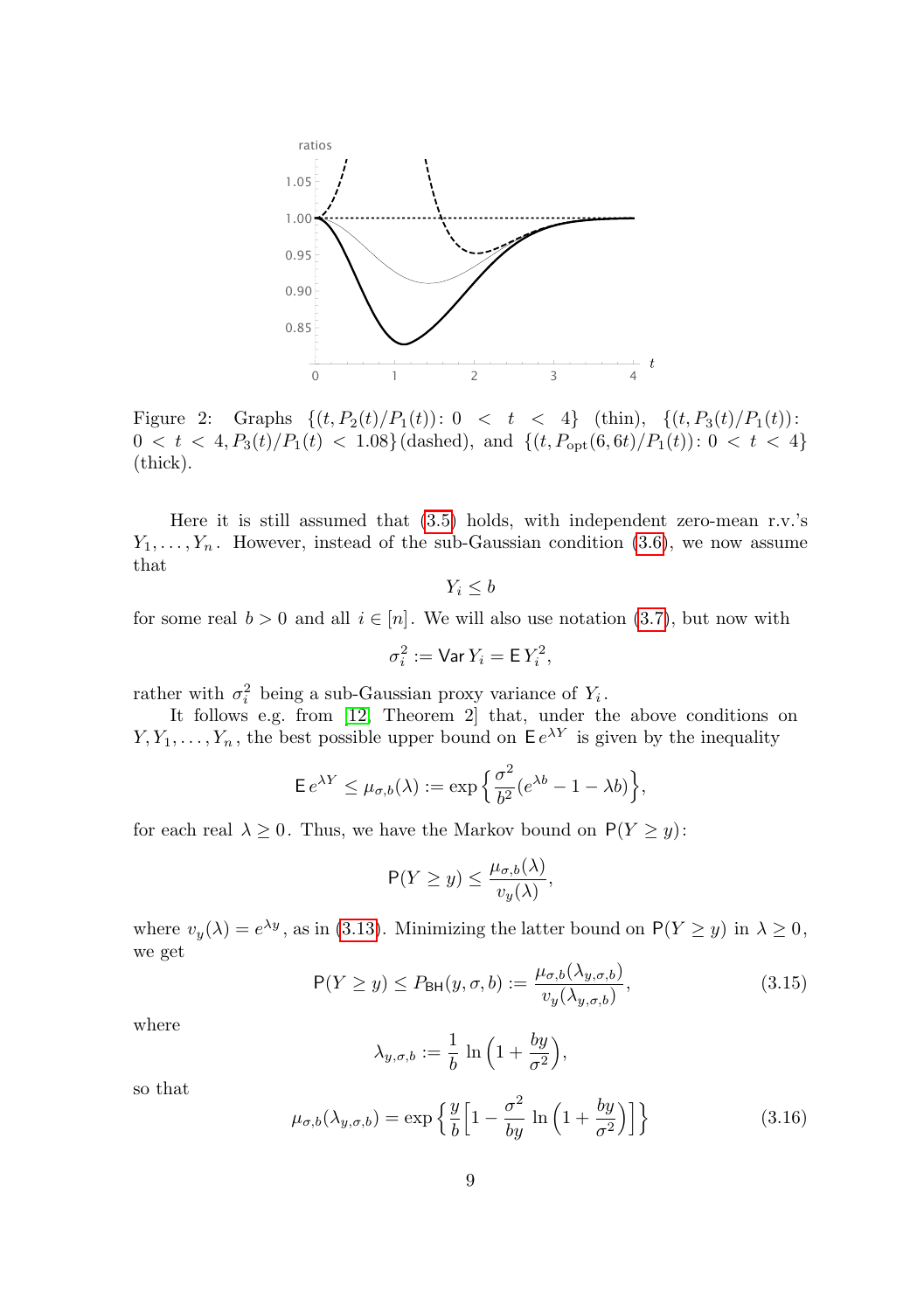

<span id="page-8-0"></span>Figure 2: Graphs  $\{(t, P_2(t)/P_1(t)): 0 < t < 4\}$  (thin),  $\{(t, P_3(t)/P_1(t)):$  $0 < t < 4, P_3(t)/P_1(t) < 1.08$  (dashed), and  $\{(t, P_{opt}(6, 6t)/P_1(t)) : 0 < t < 4\}$ (thick).

Here it is still assumed that [\(3.5\)](#page-5-2) holds, with independent zero-mean r.v.'s  $Y_1, \ldots, Y_n$ . However, instead of the sub-Gaussian condition [\(3.6\)](#page-6-0), we now assume that

$$
Y_i \leq b
$$

for some real  $b > 0$  and all  $i \in [n]$ . We will also use notation [\(3.7\)](#page-6-4), but now with

$$
\sigma_i^2 := \text{Var}\, Y_i = \mathsf{E}\, Y_i^2,
$$

rather with  $\sigma_i^2$  being a sub-Gaussian proxy variance of  $Y_i$ .

It follows e.g. from [\[12,](#page-15-1) Theorem 2] that, under the above conditions on  $Y, Y_1, \ldots, Y_n$ , the best possible upper bound on  $\mathsf{E}e^{\lambda Y}$  is given by the inequality

$$
\mathsf{E} \, e^{\lambda Y} \le \mu_{\sigma,b}(\lambda) := \exp\Big\{\frac{\sigma^2}{b^2} (e^{\lambda b} - 1 - \lambda b)\Big\},\,
$$

for each real  $\lambda \geq 0$ . Thus, we have the Markov bound on  $P(Y \geq y)$ :

$$
\mathsf{P}(Y \ge y) \le \frac{\mu_{\sigma,b}(\lambda)}{v_y(\lambda)},
$$

where  $v_y(\lambda) = e^{\lambda y}$ , as in [\(3.13\)](#page-7-2). Minimizing the latter bound on  $P(Y \ge y)$  in  $\lambda \ge 0$ , we get

<span id="page-8-1"></span>
$$
P(Y \ge y) \le P_{\text{BH}}(y,\sigma,b) := \frac{\mu_{\sigma,b}(\lambda_{y,\sigma,b})}{v_y(\lambda_{y,\sigma,b})},\tag{3.15}
$$

where

$$
\lambda_{y,\sigma,b} := \frac{1}{b} \ln \left( 1 + \frac{by}{\sigma^2} \right),\,
$$

so that

<span id="page-8-2"></span>
$$
\mu_{\sigma,b}(\lambda_{y,\sigma,b}) = \exp\left\{\frac{y}{b}\left[1 - \frac{\sigma^2}{by}\ln\left(1 + \frac{by}{\sigma^2}\right)\right]\right\} \tag{3.16}
$$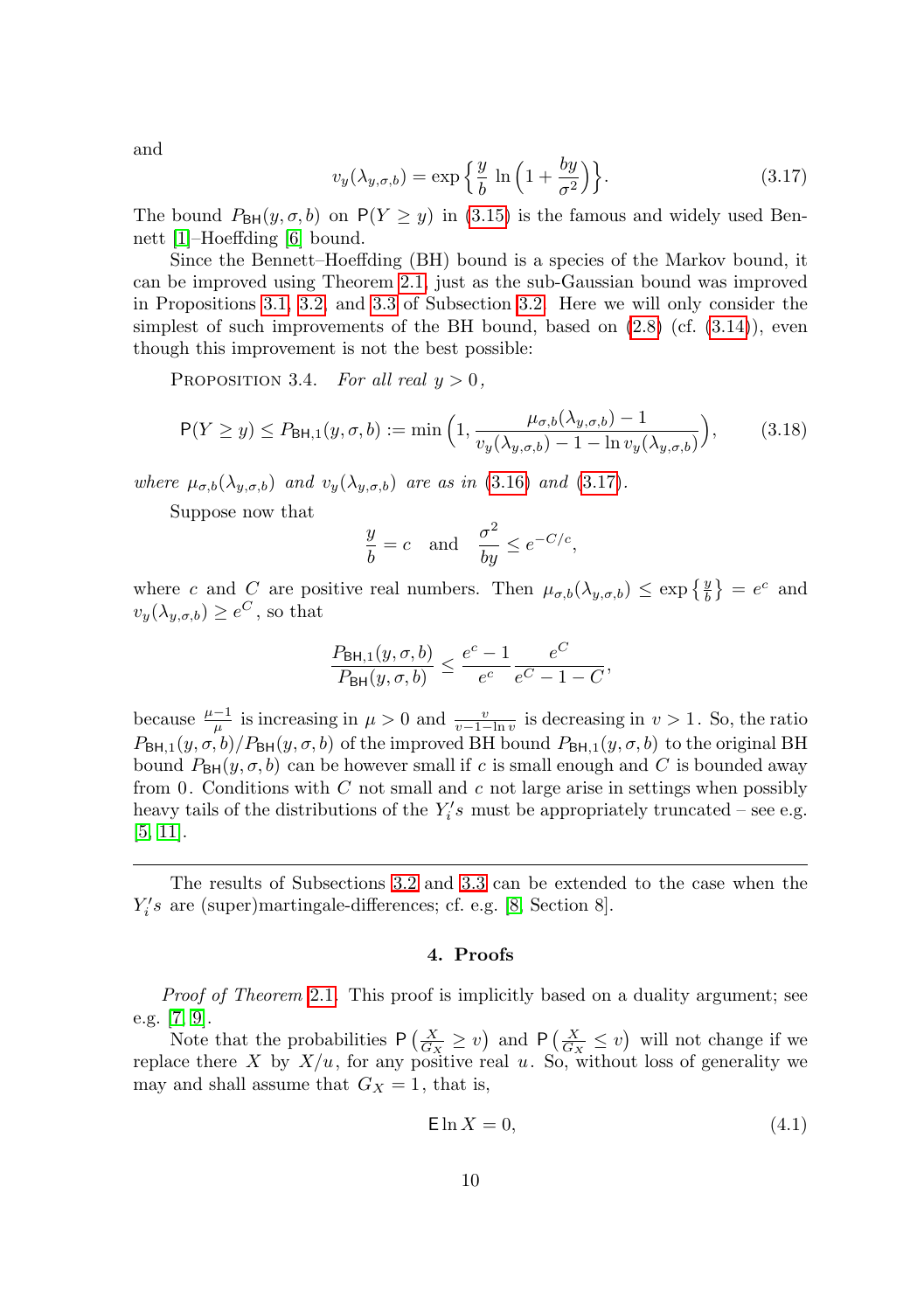and

<span id="page-9-0"></span>
$$
v_y(\lambda_{y,\sigma,b}) = \exp\left\{\frac{y}{b} \ln\left(1 + \frac{by}{\sigma^2}\right)\right\}.
$$
 (3.17)

The bound  $P_{\text{BH}}(y, \sigma, b)$  on  $P(Y \ge y)$  in [\(3.15\)](#page-8-1) is the famous and widely used Bennett [\[1\]](#page-14-4)–Hoeffding [\[6\]](#page-14-3) bound.

Since the Bennett–Hoeffding (BH) bound is a species of the Markov bound, it can be improved using Theorem [2.1,](#page-2-0) just as the sub-Gaussian bound was improved in Propositions [3.1,](#page-6-5) [3.2,](#page-7-3) and [3.3](#page-7-4) of Subsection [3.2.](#page-5-3) Here we will only consider the simplest of such improvements of the BH bound, based on  $(2.8)$  (cf.  $(3.14)$ ), even though this improvement is not the best possible:

PROPOSITION 3.4. For all real  $y > 0$ ,

$$
P(Y \ge y) \le P_{\mathsf{BH},1}(y,\sigma,b) := \min\left(1, \frac{\mu_{\sigma,b}(\lambda_{y,\sigma,b}) - 1}{v_y(\lambda_{y,\sigma,b}) - 1 - \ln v_y(\lambda_{y,\sigma,b})}\right),\tag{3.18}
$$

where  $\mu_{\sigma,b}(\lambda_{y,\sigma,b})$  and  $v_y(\lambda_{y,\sigma,b})$  are as in [\(3.16\)](#page-8-2) and [\(3.17\)](#page-9-0).

Suppose now that

$$
\frac{y}{b} = c \quad \text{and} \quad \frac{\sigma^2}{by} \le e^{-C/c},
$$

where c and C are positive real numbers. Then  $\mu_{\sigma,b}(\lambda_{y,\sigma,b}) \leq \exp\left\{\frac{y}{b}\right\} = e^c$  and  $v_y(\lambda_{y,\sigma,b}) \geq e^C$ , so that

$$
\frac{P_{\mathsf{BH},1}(y,\sigma,b)}{P_{\mathsf{BH}}(y,\sigma,b)} \le \frac{e^c - 1}{e^c} \frac{e^C}{e^C - 1 - C},
$$

because  $\frac{\mu-1}{\mu}$  is increasing in  $\mu > 0$  and  $\frac{v}{v-1-\ln v}$  is decreasing in  $v > 1$ . So, the ratio  $P_{\text{BH},1}(y,\sigma,b)/P_{\text{BH}}(y,\sigma,b)$  of the improved BH bound  $P_{\text{BH},1}(y,\sigma,b)$  to the original BH bound  $P_{\text{BH}}(y, \sigma, b)$  can be however small if c is small enough and C is bounded away from 0. Conditions with  $C$  not small and  $c$  not large arise in settings when possibly heavy tails of the distributions of the  $Y_i$ 's must be appropriately truncated – see e.g. [\[5,](#page-14-5) [11\]](#page-15-2).

The results of Subsections [3.2](#page-5-3) and [3.3](#page-7-5) can be extended to the case when the  $Y_i's$  are (super)martingale-differences; cf. e.g. [\[8,](#page-15-3) Section 8].

### 4. Proofs

Proof of Theorem [2.1](#page-2-0). This proof is implicitly based on a duality argument; see e.g. [\[7,](#page-14-6) [9\]](#page-15-4).

Note that the probabilities  $P\left(\frac{X}{G_X} \geq v\right)$  and  $P\left(\frac{X}{G_X} \leq v\right)$  will not change if we replace there X by  $X/u$ , for any positive real u. So, without loss of generality we may and shall assume that  $G_X = 1$ , that is,

<span id="page-9-1"></span>
$$
\mathsf{E} \ln X = 0,\tag{4.1}
$$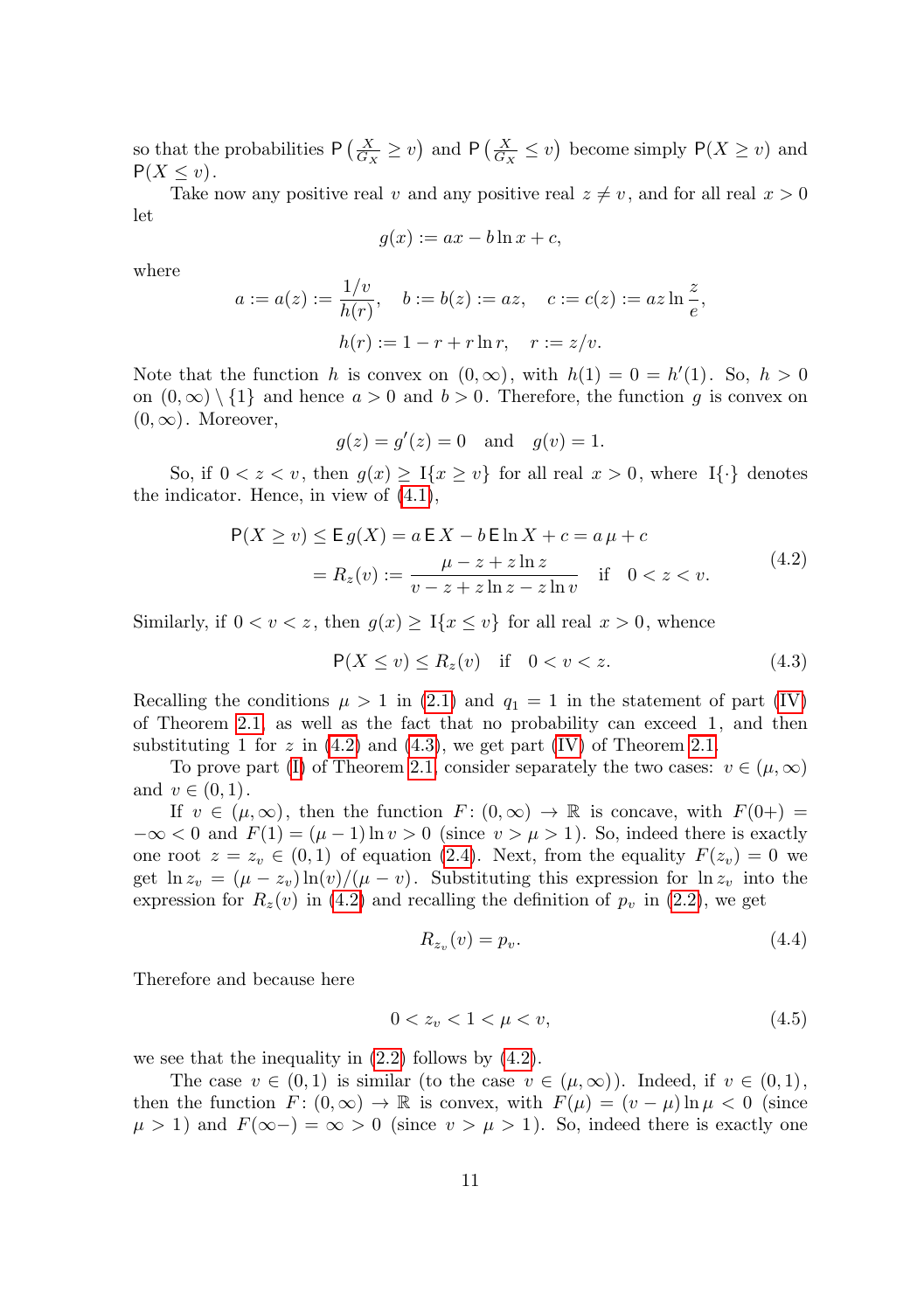so that the probabilities  $P\left(\frac{X}{G_X} \geq v\right)$  and  $P\left(\frac{X}{G_X} \leq v\right)$  become simply  $P(X \geq v)$  and  $P(X \leq v)$ .

Take now any positive real v and any positive real  $z \neq v$ , and for all real  $x > 0$ let

$$
g(x) := ax - b \ln x + c,
$$

where

$$
a := a(z) := \frac{1/v}{h(r)}, \quad b := b(z) := az, \quad c := c(z) := az \ln \frac{z}{e},
$$

$$
h(r) := 1 - r + r \ln r, \quad r := z/v.
$$

Note that the function h is convex on  $(0, \infty)$ , with  $h(1) = 0 = h'(1)$ . So,  $h > 0$ on  $(0, \infty) \setminus \{1\}$  and hence  $a > 0$  and  $b > 0$ . Therefore, the function g is convex on  $(0, \infty)$ . Moreover,

$$
g(z) = g'(z) = 0
$$
 and  $g(v) = 1$ .

So, if  $0 < z < v$ , then  $g(x) \geq \mathbb{I}\{x \geq v\}$  for all real  $x > 0$ , where  $\mathbb{I}\{\cdot\}$  denotes the indicator. Hence, in view of [\(4.1\)](#page-9-1),

<span id="page-10-0"></span>
$$
P(X \ge v) \le E g(X) = a E X - b E \ln X + c = a \mu + c
$$
  
=  $R_z(v) := \frac{\mu - z + z \ln z}{v - z + z \ln z - z \ln v}$  if  $0 < z < v$ . (4.2)

Similarly, if  $0 < v < z$ , then  $g(x) \geq \mathbb{I}\{x \leq v\}$  for all real  $x > 0$ , whence

<span id="page-10-1"></span>
$$
\mathsf{P}(X \le v) \le R_z(v) \quad \text{if} \quad 0 < v < z. \tag{4.3}
$$

Recalling the conditions  $\mu > 1$  in [\(2.1\)](#page-2-4) and  $q_1 = 1$  in the statement of part [\(IV\)](#page-3-3) of Theorem [2.1,](#page-2-0) as well as the fact that no probability can exceed 1, and then substituting 1 for z in  $(4.2)$  and  $(4.3)$ , we get part  $(IV)$  of Theorem [2.1.](#page-2-0)

To prove part [\(I\)](#page-2-6) of Theorem [2.1,](#page-2-0) consider separately the two cases:  $v \in (\mu, \infty)$ and  $v \in (0, 1)$ .

If  $v \in (\mu, \infty)$ , then the function  $F: (0, \infty) \to \mathbb{R}$  is concave, with  $F(0+) =$  $-\infty < 0$  and  $F(1) = (\mu - 1) \ln v > 0$  (since  $v > \mu > 1$ ). So, indeed there is exactly one root  $z = z_v \in (0,1)$  of equation [\(2.4\)](#page-2-1). Next, from the equality  $F(z_v) = 0$  we get  $\ln z_v = (\mu - z_v) \ln(v) / (\mu - v)$ . Substituting this expression for  $\ln z_v$  into the expression for  $R_z(v)$  in [\(4.2\)](#page-10-0) and recalling the definition of  $p_v$  in [\(2.2\)](#page-2-2), we get

<span id="page-10-2"></span>
$$
R_{z_v}(v) = p_v. \tag{4.4}
$$

Therefore and because here

<span id="page-10-3"></span>
$$
0 < z_v < 1 < \mu < v,\tag{4.5}
$$

we see that the inequality in [\(2.2\)](#page-2-2) follows by [\(4.2\)](#page-10-0).

The case  $v \in (0,1)$  is similar (to the case  $v \in (\mu,\infty)$ ). Indeed, if  $v \in (0,1)$ , then the function  $F: (0, \infty) \to \mathbb{R}$  is convex, with  $F(\mu) = (v - \mu) \ln \mu < 0$  (since  $\mu > 1$ ) and  $F(\infty-) = \infty > 0$  (since  $v > \mu > 1$ ). So, indeed there is exactly one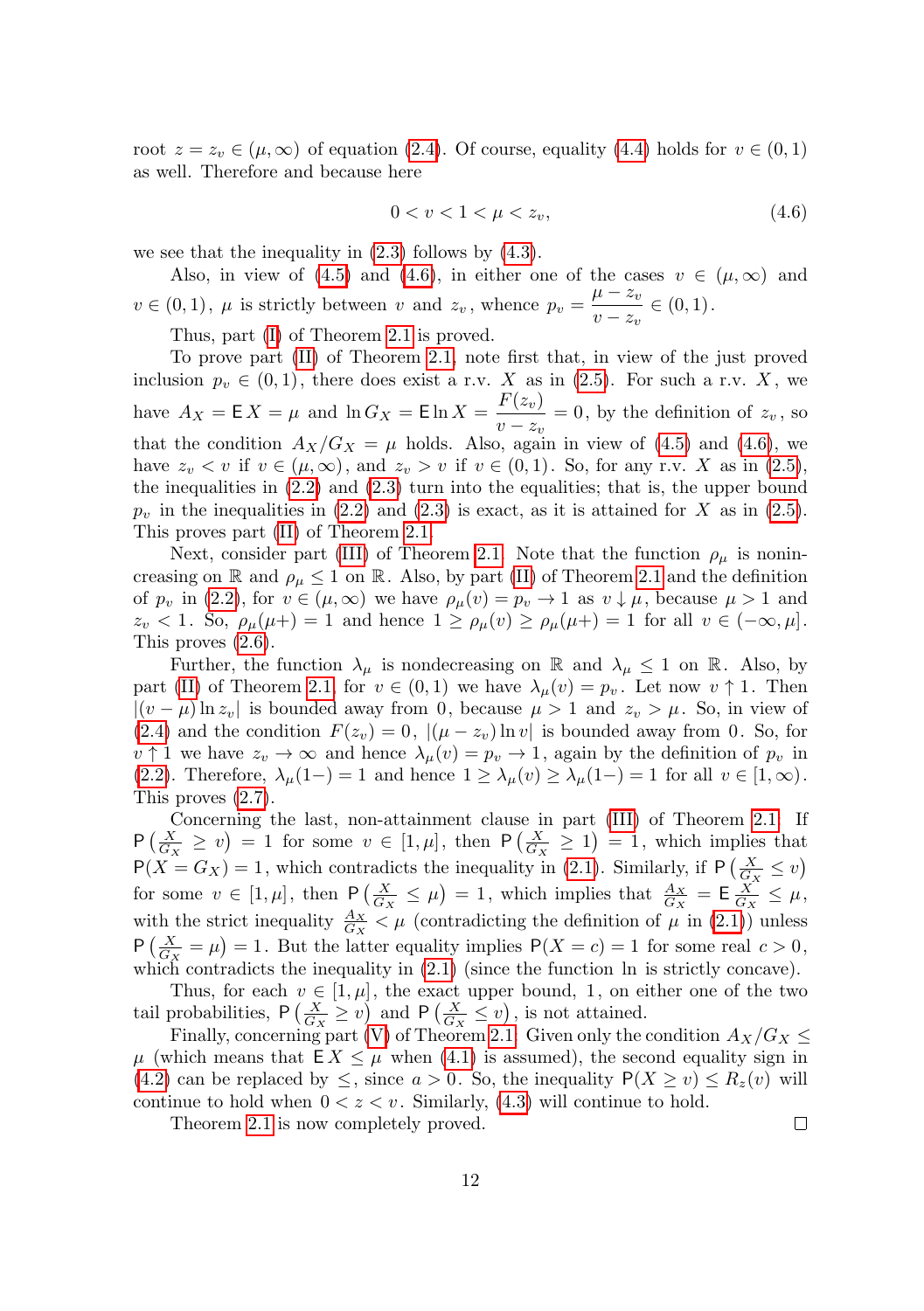root  $z = z_v \in (\mu, \infty)$  of equation [\(2.4\)](#page-2-1). Of course, equality [\(4.4\)](#page-10-2) holds for  $v \in (0, 1)$ as well. Therefore and because here

<span id="page-11-0"></span>
$$
0 < v < 1 < \mu < z_v,\tag{4.6}
$$

we see that the inequality in  $(2.3)$  follows by  $(4.3)$ .

Also, in view of [\(4.5\)](#page-10-3) and [\(4.6\)](#page-11-0), in either one of the cases  $v \in (\mu, \infty)$  and  $v \in (0, 1)$ ,  $\mu$  is strictly between v and  $z_v$ , whence  $p_v = \frac{\mu - z_v}{\mu - z_v}$  $\frac{\mu}{v-z_v} \in (0,1).$ 

Thus, part [\(I\)](#page-2-6) of Theorem [2.1](#page-2-0) is proved.

To prove part [\(II\)](#page-2-5) of Theorem [2.1,](#page-2-0) note first that, in view of the just proved inclusion  $p_v \in (0,1)$ , there does exist a r.v. X as in [\(2.5\)](#page-2-7). For such a r.v. X, we have  $A_X = \mathsf{E} X = \mu$  and  $\ln G_X = \mathsf{E} \ln X = \frac{F(z_v)}{w_v}$  $\frac{1}{v-z_v} = 0$ , by the definition of  $z_v$ , so that the condition  $A_X/G_X = \mu$  holds. Also, again in view of [\(4.5\)](#page-10-3) and [\(4.6\)](#page-11-0), we have  $z_v < v$  if  $v \in (\mu, \infty)$ , and  $z_v > v$  if  $v \in (0, 1)$ . So, for any r.v. X as in [\(2.5\)](#page-2-7), the inequalities in [\(2.2\)](#page-2-2) and [\(2.3\)](#page-2-3) turn into the equalities; that is, the upper bound  $p_v$  in the inequalities in [\(2.2\)](#page-2-2) and [\(2.3\)](#page-2-3) is exact, as it is attained for X as in [\(2.5\)](#page-2-7). This proves part [\(II\)](#page-2-5) of Theorem [2.1.](#page-2-0)

Next, consider part [\(III\)](#page-3-4) of Theorem [2.1.](#page-2-0) Note that the function  $\rho_{\mu}$  is nonincreasing on R and  $\rho_{\mu} \leq 1$  on R. Also, by part [\(II\)](#page-2-5) of Theorem [2.1](#page-2-0) and the definition of  $p_v$  in [\(2.2\)](#page-2-2), for  $v \in (\mu, \infty)$  we have  $\rho_\mu(v) = p_v \to 1$  as  $v \downarrow \mu$ , because  $\mu > 1$  and  $z_v < 1$ . So,  $\rho_\mu(\mu+) = 1$  and hence  $1 \ge \rho_\mu(v) \ge \rho_\mu(\mu+) = 1$  for all  $v \in (-\infty, \mu]$ . This proves [\(2.6\)](#page-3-5).

Further, the function  $\lambda_{\mu}$  is nondecreasing on R and  $\lambda_{\mu} \leq 1$  on R. Also, by part [\(II\)](#page-2-5) of Theorem [2.1,](#page-2-0) for  $v \in (0,1)$  we have  $\lambda_{\mu}(v) = p_{v}$ . Let now  $v \uparrow 1$ . Then  $|(v - \mu) \ln z_v|$  is bounded away from 0, because  $\mu > 1$  and  $z_v > \mu$ . So, in view of [\(2.4\)](#page-2-1) and the condition  $F(z_v) = 0$ ,  $|(\mu - z_v) \ln v|$  is bounded away from 0. So, for  $v \uparrow 1$  we have  $z_v \to \infty$  and hence  $\lambda_\mu(v) = p_v \to 1$ , again by the definition of  $p_v$  in [\(2.2\)](#page-2-2). Therefore,  $\lambda_{\mu}(1-) = 1$  and hence  $1 \geq \lambda_{\mu}(v) \geq \lambda_{\mu}(1-) = 1$  for all  $v \in [1, \infty)$ . This proves [\(2.7\)](#page-3-6).

Concerning the last, non-attainment clause in part [\(III\)](#page-3-4) of Theorem [2.1:](#page-2-0) If  $P\left(\frac{X}{G_X} \geq v\right) = 1$  for some  $v \in [1, \mu]$ , then  $P\left(\frac{X}{G_X} \geq 1\right) = 1$ , which implies that  $P(X = G_X) = 1$ , which contradicts the inequality in [\(2.1\)](#page-2-4). Similarly, if  $P\left(\frac{X}{G_X} \le v\right)$ for some  $v \in [1, \mu]$ , then  $P\left(\frac{X}{G_X} \leq \mu\right) = 1$ , which implies that  $\frac{A_X}{G_X} = \mathsf{E} \frac{X}{G_X} \leq \mu$ , with the strict inequality  $\frac{A_X}{G_X} < \mu$  (contradicting the definition of  $\mu$  in [\(2.1\)](#page-2-4)) unless  $P\left(\frac{X}{G_X} = \mu\right) = 1$ . But the latter equality implies  $P(X = c) = 1$  for some real  $c > 0$ , which contradicts the inequality in  $(2.1)$  (since the function ln is strictly concave).

Thus, for each  $v \in [1, \mu]$ , the exact upper bound, 1, on either one of the two tail probabilities,  $P\left(\frac{X}{G_X} \ge v\right)$  and  $P\left(\frac{X}{G_X} \le v\right)$ , is not attained.

Finally, concerning part [\(V\)](#page-3-7) of Theorem [2.1:](#page-2-0) Given only the condition  $A_X/G_X \leq$  $\mu$  (which means that  $EX \leq \mu$  when [\(4.1\)](#page-9-1) is assumed), the second equality sign in [\(4.2\)](#page-10-0) can be replaced by  $\leq$ , since  $a > 0$ . So, the inequality  $P(X \geq v) \leq R_z(v)$  will continue to hold when  $0 < z < v$ . Similarly, [\(4.3\)](#page-10-1) will continue to hold.

Theorem [2.1](#page-2-0) is now completely proved.

 $\Box$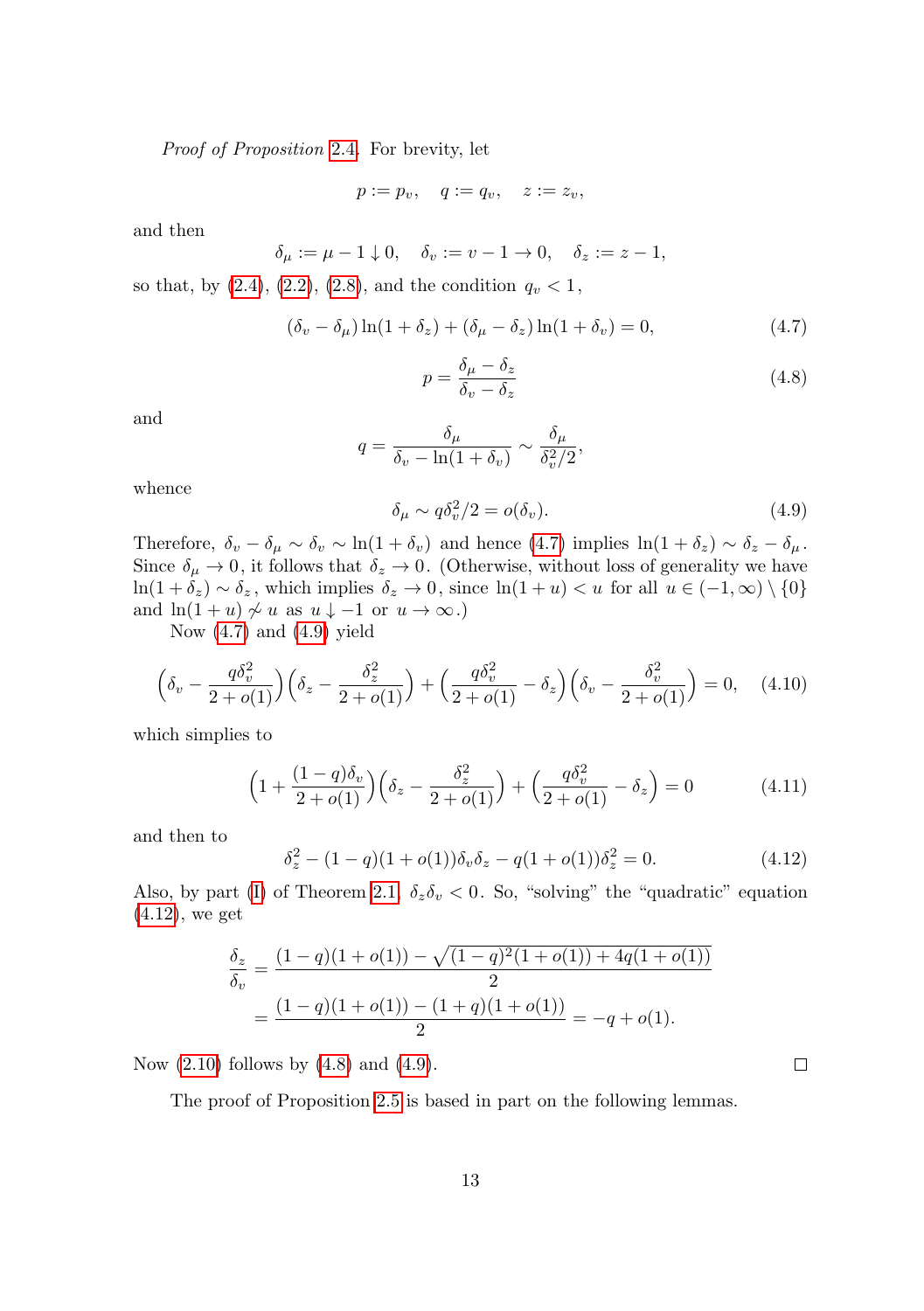Proof of Proposition [2.4](#page-3-8). For brevity, let

$$
p := p_v, \quad q := q_v, \quad z := z_v,
$$

and then

$$
\delta_\mu:=\mu-1\downarrow 0,\quad \delta_v:=v-1\to 0,\quad \delta_z:=z-1,
$$

so that, by  $(2.4), (2.2), (2.8),$  $(2.4), (2.2), (2.8),$  $(2.4), (2.2), (2.8),$  $(2.4), (2.2), (2.8),$  $(2.4), (2.2), (2.8),$  $(2.4), (2.2), (2.8),$  and the condition  $q_v < 1$ ,

<span id="page-12-0"></span>
$$
(\delta_v - \delta_\mu) \ln(1 + \delta_z) + (\delta_\mu - \delta_z) \ln(1 + \delta_v) = 0,
$$
\n(4.7)

<span id="page-12-3"></span>
$$
p = \frac{\delta_{\mu} - \delta_{z}}{\delta_{v} - \delta_{z}}\tag{4.8}
$$

and

$$
q = \frac{\delta_{\mu}}{\delta_{v} - \ln(1 + \delta_{v})} \sim \frac{\delta_{\mu}}{\delta_{v}^{2}/2},
$$

whence

<span id="page-12-1"></span>
$$
\delta_{\mu} \sim q \delta_{v}^{2}/2 = o(\delta_{v}). \tag{4.9}
$$

Therefore,  $\delta_v - \delta_\mu \sim \delta_v \sim \ln(1 + \delta_v)$  and hence [\(4.7\)](#page-12-0) implies  $\ln(1 + \delta_z) \sim \delta_z - \delta_\mu$ . Since  $\delta_{\mu} \to 0$ , it follows that  $\delta_{z} \to 0$ . (Otherwise, without loss of generality we have  $\ln(1+\delta_z) \sim \delta_z$ , which implies  $\delta_z \to 0$ , since  $\ln(1+u) < u$  for all  $u \in (-1,\infty) \setminus \{0\}$ and  $ln(1 + u) \nsim u$  as  $u \downarrow -1$  or  $u \to \infty$ .)

Now  $(4.7)$  and  $(4.9)$  yield

$$
\left(\delta_v - \frac{q\delta_v^2}{2 + o(1)}\right) \left(\delta_z - \frac{\delta_z^2}{2 + o(1)}\right) + \left(\frac{q\delta_v^2}{2 + o(1)} - \delta_z\right) \left(\delta_v - \frac{\delta_v^2}{2 + o(1)}\right) = 0, \quad (4.10)
$$

which simplies to

$$
\left(1 + \frac{(1-q)\delta_v}{2+o(1)}\right)\left(\delta_z - \frac{\delta_z^2}{2+o(1)}\right) + \left(\frac{q\delta_v^2}{2+o(1)} - \delta_z\right) = 0\tag{4.11}
$$

and then to

<span id="page-12-2"></span>
$$
\delta_z^2 - (1 - q)(1 + o(1))\delta_v \delta_z - q(1 + o(1))\delta_z^2 = 0.
$$
\n(4.12)

Also, by part [\(I\)](#page-2-6) of Theorem [2.1,](#page-2-0)  $\delta_z \delta_v < 0$ . So, "solving" the "quadratic" equation [\(4.12\)](#page-12-2), we get

$$
\frac{\delta_z}{\delta_v} = \frac{(1-q)(1+o(1)) - \sqrt{(1-q)^2(1+o(1)) + 4q(1+o(1))}}{2}
$$

$$
= \frac{(1-q)(1+o(1)) - (1+q)(1+o(1))}{2} = -q + o(1).
$$

Now  $(2.10)$  follows by  $(4.8)$  and  $(4.9)$ .

The proof of Proposition [2.5](#page-4-5) is based in part on the following lemmas.

 $\Box$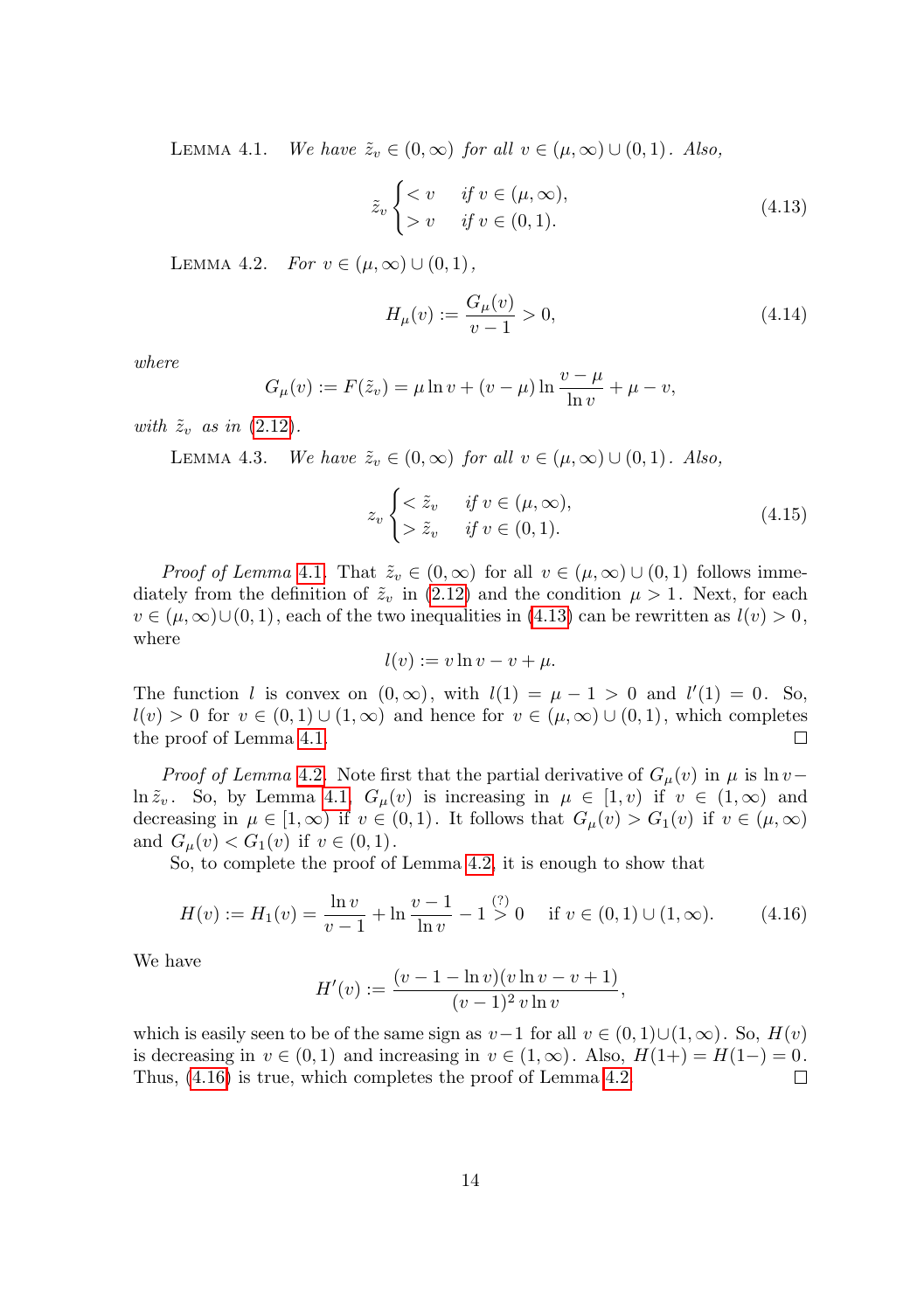<span id="page-13-0"></span>LEMMA 4.1. We have  $\tilde{z}_v \in (0,\infty)$  for all  $v \in (\mu,\infty) \cup (0,1)$ . Also,

<span id="page-13-1"></span>
$$
\tilde{z}_v \begin{cases} < v & \text{if } v \in (\mu, \infty), \\ > v & \text{if } v \in (0, 1). \end{cases}
$$
\n(4.13)

<span id="page-13-2"></span>LEMMA 4.2. For  $v \in (\mu, \infty) \cup (0, 1)$ ,

$$
H_{\mu}(v) := \frac{G_{\mu}(v)}{v - 1} > 0,
$$
\n(4.14)

where

$$
G_{\mu}(v) := F(\tilde{z}_v) = \mu \ln v + (v - \mu) \ln \frac{v - \mu}{\ln v} + \mu - v,
$$

<span id="page-13-4"></span>with  $\tilde{z}_v$  as in [\(2.12\)](#page-4-6).

LEMMA 4.3. We have  $\tilde{z}_v \in (0,\infty)$  for all  $v \in (\mu,\infty) \cup (0,1)$ . Also,

<span id="page-13-5"></span>
$$
z_v \begin{cases} < \tilde{z}_v & \text{if } v \in (\mu, \infty), \\ > \tilde{z}_v & \text{if } v \in (0, 1). \end{cases}
$$
 (4.15)

*Proof of Lemma* [4.1](#page-13-0). That  $\tilde{z}_v \in (0,\infty)$  for all  $v \in (\mu,\infty) \cup (0,1)$  follows immediately from the definition of  $\tilde{z}_v$  in [\(2.12\)](#page-4-6) and the condition  $\mu > 1$ . Next, for each  $v \in (\mu, \infty) \cup (0, 1)$ , each of the two inequalities in [\(4.13\)](#page-13-1) can be rewritten as  $l(v) > 0$ , where

$$
l(v) := v \ln v - v + \mu.
$$

The function l is convex on  $(0, \infty)$ , with  $l(1) = \mu - 1 > 0$  and  $l'(1) = 0$ . So,  $l(v) > 0$  for  $v \in (0, 1) \cup (1, \infty)$  and hence for  $v \in (\mu, \infty) \cup (0, 1)$ , which completes the proof of Lemma [4.1.](#page-13-0)  $\Box$ 

*Proof of Lemma* [4.2](#page-13-2). Note first that the partial derivative of  $G_{\mu}(v)$  in  $\mu$  is ln v –  $\ln \tilde{z}_v$ . So, by Lemma [4.1,](#page-13-0)  $G_{\mu}(v)$  is increasing in  $\mu \in [1, v)$  if  $v \in (1, \infty)$  and decreasing in  $\mu \in [1, \infty)$  if  $v \in (0, 1)$ . It follows that  $G_{\mu}(v) > G_1(v)$  if  $v \in (\mu, \infty)$ and  $G_{\mu}(v) < G_1(v)$  if  $v \in (0,1)$ .

So, to complete the proof of Lemma [4.2,](#page-13-2) it is enough to show that

<span id="page-13-3"></span>
$$
H(v) := H_1(v) = \frac{\ln v}{v - 1} + \ln \frac{v - 1}{\ln v} - 1 \stackrel{(?)}{>} 0 \quad \text{if } v \in (0, 1) \cup (1, \infty). \tag{4.16}
$$

We have

$$
H'(v) := \frac{(v - 1 - \ln v)(v \ln v - v + 1)}{(v - 1)^2 v \ln v},
$$

which is easily seen to be of the same sign as  $v-1$  for all  $v \in (0,1) \cup (1,\infty)$ . So,  $H(v)$ is decreasing in  $v \in (0,1)$  and increasing in  $v \in (1,\infty)$ . Also,  $H(1+) = H(1-) = 0$ . Thus, [\(4.16\)](#page-13-3) is true, which completes the proof of Lemma [4.2.](#page-13-2)  $\Box$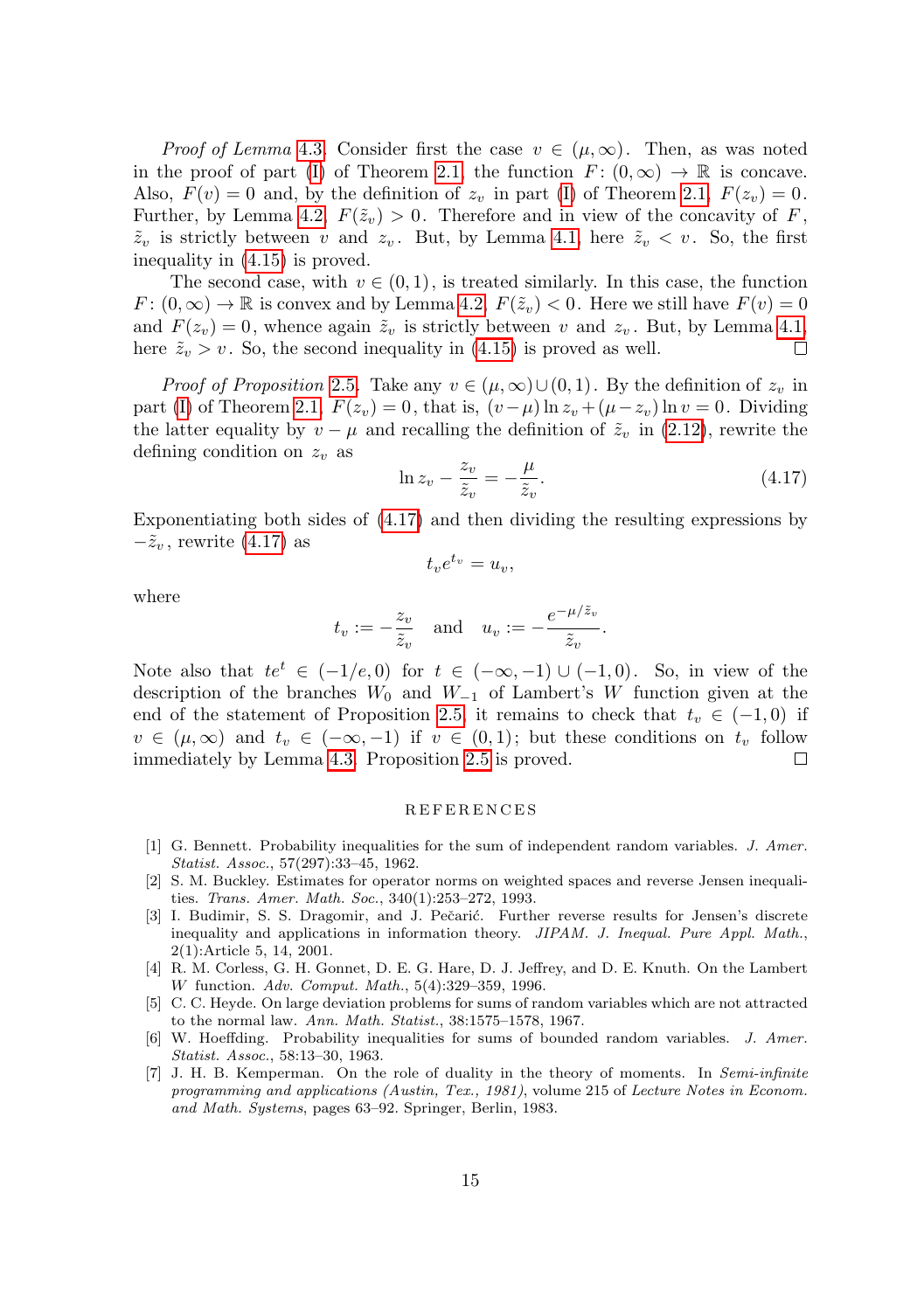*Proof of Lemma* [4.3](#page-13-4). Consider first the case  $v \in (\mu, \infty)$ . Then, as was noted in the proof of part [\(I\)](#page-2-6) of Theorem [2.1,](#page-2-0) the function  $F: (0, \infty) \to \mathbb{R}$  is concave. Also,  $F(v) = 0$  and, by the definition of  $z_v$  in part [\(I\)](#page-2-6) of Theorem [2.1,](#page-2-0)  $F(z_v) = 0$ . Further, by Lemma [4.2,](#page-13-2)  $F(\tilde{z}_v) > 0$ . Therefore and in view of the concavity of F,  $\tilde{z}_v$  is strictly between v and  $z_v$ . But, by Lemma [4.1,](#page-13-0) here  $\tilde{z}_v < v$ . So, the first inequality in [\(4.15\)](#page-13-5) is proved.

The second case, with  $v \in (0, 1)$ , is treated similarly. In this case, the function  $F: (0, \infty) \to \mathbb{R}$  is convex and by Lemma [4.2,](#page-13-2)  $F(\tilde{z}_v) < 0$ . Here we still have  $F(v) = 0$ and  $F(z_v) = 0$ , whence again  $\tilde{z}_v$  is strictly between v and  $z_v$ . But, by Lemma [4.1,](#page-13-0) here  $\tilde{z}_v > v$ . So, the second inequality in [\(4.15\)](#page-13-5) is proved as well. □

*Proof of Proposition* [2.5](#page-4-5). Take any  $v \in (\mu, \infty) \cup (0, 1)$ . By the definition of  $z_v$  in part [\(I\)](#page-2-6) of Theorem [2.1,](#page-2-0)  $F(z_v) = 0$ , that is,  $(v - \mu) \ln z_v + (\mu - z_v) \ln v = 0$ . Dividing the latter equality by  $v - \mu$  and recalling the definition of  $\tilde{z}_v$  in [\(2.12\)](#page-4-6), rewrite the defining condition on  $z_v$  as

<span id="page-14-7"></span>
$$
\ln z_v - \frac{z_v}{\tilde{z}_v} = -\frac{\mu}{\tilde{z}_v}.\tag{4.17}
$$

Exponentiating both sides of [\(4.17\)](#page-14-7) and then dividing the resulting expressions by  $-\tilde{z}_v$ , rewrite [\(4.17\)](#page-14-7) as

$$
t_v e^{t_v} = u_v,
$$

where

$$
t_v := -\frac{z_v}{\tilde{z}_v}
$$
 and  $u_v := -\frac{e^{-\mu/\tilde{z}_v}}{\tilde{z}_v}.$ 

Note also that  $te^t \in (-1/e, 0)$  for  $t \in (-\infty, -1) \cup (-1, 0)$ . So, in view of the description of the branches  $W_0$  and  $W_{-1}$  of Lambert's W function given at the end of the statement of Proposition [2.5,](#page-4-5) it remains to check that  $t_v \in (-1,0)$  if  $v \in (\mu, \infty)$  and  $t_v \in (-\infty, -1)$  if  $v \in (0, 1)$ ; but these conditions on  $t_v$  follow immediately by Lemma [4.3.](#page-13-4) Proposition [2.5](#page-4-5) is proved. □

#### R E F E R E N C E S

- <span id="page-14-4"></span>[1] G. Bennett. Probability inequalities for the sum of independent random variables. J. Amer. Statist. Assoc., 57(297):33–45, 1962.
- <span id="page-14-1"></span>[2] S. M. Buckley. Estimates for operator norms on weighted spaces and reverse Jensen inequalities. Trans. Amer. Math. Soc., 340(1):253–272, 1993.
- <span id="page-14-0"></span>[3] I. Budimir, S. S. Dragomir, and J. Pečarić. Further reverse results for Jensen's discrete inequality and applications in information theory. JIPAM. J. Inequal. Pure Appl. Math., 2(1):Article 5, 14, 2001.
- <span id="page-14-2"></span>[4] R. M. Corless, G. H. Gonnet, D. E. G. Hare, D. J. Jeffrey, and D. E. Knuth. On the Lambert W function. Adv. Comput. Math., 5(4):329–359, 1996.
- <span id="page-14-5"></span>[5] C. C. Heyde. On large deviation problems for sums of random variables which are not attracted to the normal law. Ann. Math. Statist., 38:1575–1578, 1967.
- <span id="page-14-3"></span>[6] W. Hoeffding. Probability inequalities for sums of bounded random variables. J. Amer. Statist. Assoc., 58:13–30, 1963.
- <span id="page-14-6"></span>[7] J. H. B. Kemperman. On the role of duality in the theory of moments. In Semi-infinite programming and applications (Austin, Tex., 1981), volume 215 of Lecture Notes in Econom. and Math. Systems, pages 63–92. Springer, Berlin, 1983.